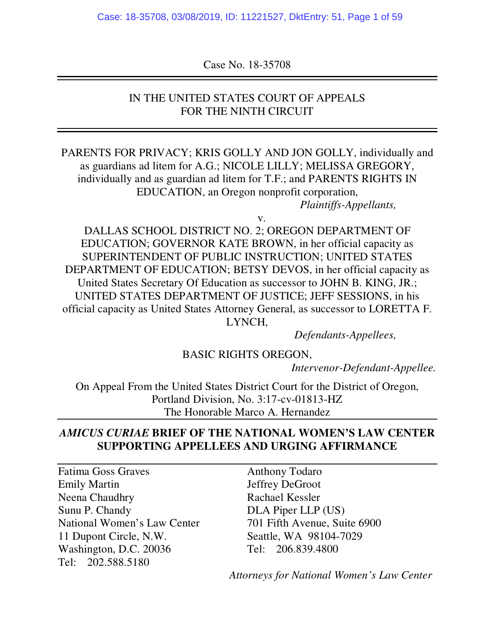Case No. 18-35708

## IN THE UNITED STATES COURT OF APPEALS FOR THE NINTH CIRCUIT

#### PARENTS FOR PRIVACY; KRIS GOLLY AND JON GOLLY, individually and as guardians ad litem for A.G.; NICOLE LILLY; MELISSA GREGORY, individually and as guardian ad litem for T.F.; and PARENTS RIGHTS IN EDUCATION, an Oregon nonprofit corporation, *Plaintiffs-Appellants,*

v.

DALLAS SCHOOL DISTRICT NO. 2; OREGON DEPARTMENT OF EDUCATION; GOVERNOR KATE BROWN, in her official capacity as SUPERINTENDENT OF PUBLIC INSTRUCTION; UNITED STATES DEPARTMENT OF EDUCATION; BETSY DEVOS, in her official capacity as United States Secretary Of Education as successor to JOHN B. KING, JR.; UNITED STATES DEPARTMENT OF JUSTICE; JEFF SESSIONS, in his official capacity as United States Attorney General, as successor to LORETTA F. LYNCH,

*Defendants-Appellees,* 

#### BASIC RIGHTS OREGON,

*Intervenor-Defendant-Appellee.*

On Appeal From the United States District Court for the District of Oregon, Portland Division, No. 3:17-cv-01813-HZ The Honorable Marco A. Hernandez

#### *AMICUS CURIAE* **BRIEF OF THE NATIONAL WOMEN'S LAW CENTER SUPPORTING APPELLEES AND URGING AFFIRMANCE**

Fatima Goss Graves Emily Martin Neena Chaudhry Sunu P. Chandy National Women's Law Center 11 Dupont Circle, N.W. Washington, D.C. 20036 Tel: 202.588.5180

Anthony Todaro Jeffrey DeGroot Rachael Kessler DLA Piper LLP (US) 701 Fifth Avenue, Suite 6900 Seattle, WA 98104-7029 Tel: 206.839.4800

*Attorneys for National Women's Law Center*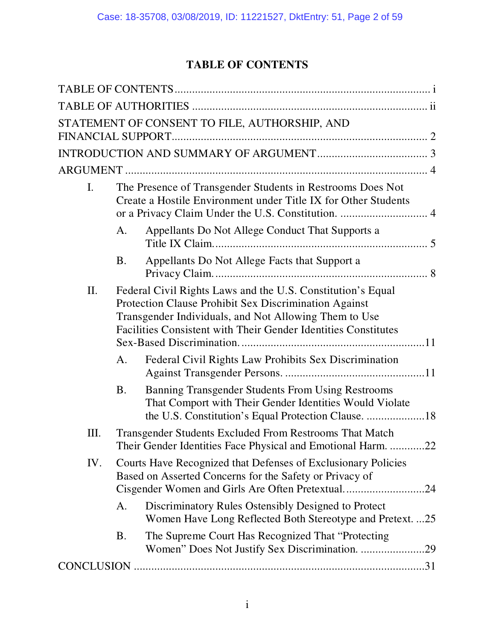# **TABLE OF CONTENTS**

|                                                                                                                              | STATEMENT OF CONSENT TO FILE, AUTHORSHIP, AND                                                                                                                                                                                                   |  |
|------------------------------------------------------------------------------------------------------------------------------|-------------------------------------------------------------------------------------------------------------------------------------------------------------------------------------------------------------------------------------------------|--|
|                                                                                                                              |                                                                                                                                                                                                                                                 |  |
|                                                                                                                              |                                                                                                                                                                                                                                                 |  |
| The Presence of Transgender Students in Restrooms Does Not<br>Create a Hostile Environment under Title IX for Other Students |                                                                                                                                                                                                                                                 |  |
| A.                                                                                                                           | Appellants Do Not Allege Conduct That Supports a                                                                                                                                                                                                |  |
| B.                                                                                                                           | Appellants Do Not Allege Facts that Support a                                                                                                                                                                                                   |  |
|                                                                                                                              | Federal Civil Rights Laws and the U.S. Constitution's Equal<br>Protection Clause Prohibit Sex Discrimination Against<br>Transgender Individuals, and Not Allowing Them to Use<br>Facilities Consistent with Their Gender Identities Constitutes |  |
| A.                                                                                                                           | Federal Civil Rights Law Prohibits Sex Discrimination                                                                                                                                                                                           |  |
| <b>B.</b>                                                                                                                    | Banning Transgender Students From Using Restrooms<br>That Comport with Their Gender Identities Would Violate                                                                                                                                    |  |
|                                                                                                                              | Transgender Students Excluded From Restrooms That Match<br>Their Gender Identities Face Physical and Emotional Harm. 22                                                                                                                         |  |
|                                                                                                                              | Courts Have Recognized that Defenses of Exclusionary Policies<br>Based on Asserted Concerns for the Safety or Privacy of<br>Cisgender Women and Girls Are Often Pretextual24                                                                    |  |
| A.                                                                                                                           | Discriminatory Rules Ostensibly Designed to Protect<br>Women Have Long Reflected Both Stereotype and Pretext25                                                                                                                                  |  |
| B.                                                                                                                           | The Supreme Court Has Recognized That "Protecting<br>Women" Does Not Justify Sex Discrimination. 29                                                                                                                                             |  |
|                                                                                                                              |                                                                                                                                                                                                                                                 |  |
|                                                                                                                              |                                                                                                                                                                                                                                                 |  |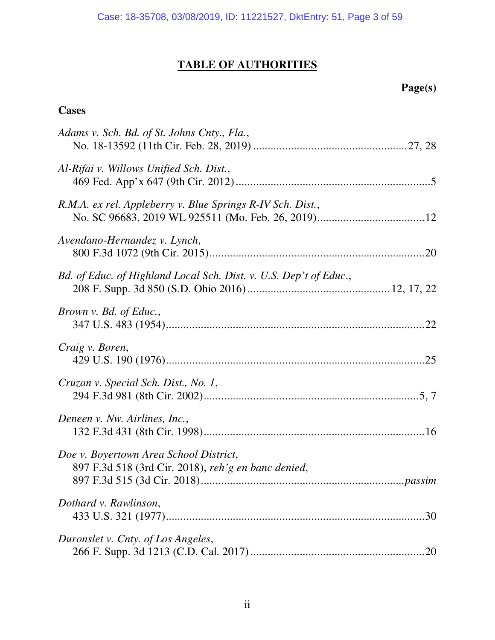# **TABLE OF AUTHORITIES**

# **Page(s)**

## **Cases**

| Adams v. Sch. Bd. of St. Johns Cnty., Fla.,                                                   |
|-----------------------------------------------------------------------------------------------|
| Al-Rifai v. Willows Unified Sch. Dist.,                                                       |
| R.M.A. ex rel. Appleberry v. Blue Springs R-IV Sch. Dist.,                                    |
| Avendano-Hernandez v. Lynch,                                                                  |
| Bd. of Educ. of Highland Local Sch. Dist. v. U.S. Dep't of Educ.,                             |
| Brown v. Bd. of Educ.,                                                                        |
| Craig v. Boren,                                                                               |
| Cruzan v. Special Sch. Dist., No. 1,                                                          |
| Deneen v. Nw. Airlines, Inc.,                                                                 |
| Doe v. Boyertown Area School District,<br>897 F.3d 518 (3rd Cir. 2018), reh'g en banc denied, |
| Dothard v. Rawlinson,<br>.30                                                                  |
| Duronslet v. Cnty. of Los Angeles,                                                            |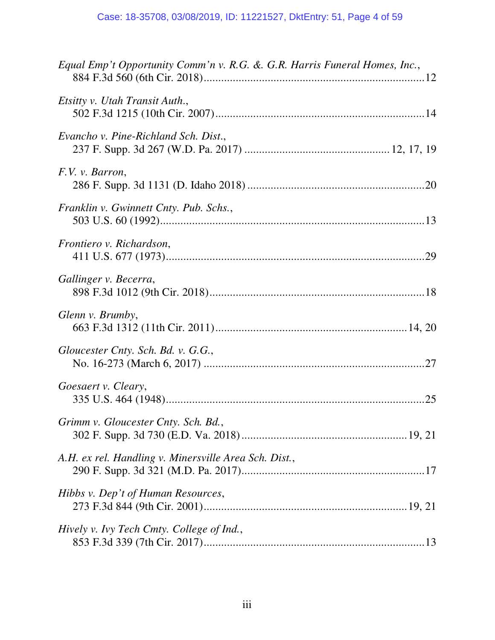| Equal Emp't Opportunity Comm'n v. R.G. &. G.R. Harris Funeral Homes, Inc., |
|----------------------------------------------------------------------------|
| Etsitty v. Utah Transit Auth.,                                             |
| Evancho v. Pine-Richland Sch. Dist.,                                       |
| F.V. v. Barron,                                                            |
| Franklin v. Gwinnett Cnty. Pub. Schs.,                                     |
| Frontiero v. Richardson,                                                   |
| Gallinger v. Becerra,                                                      |
| Glenn v. Brumby,                                                           |
| Gloucester Cnty. Sch. Bd. v. G.G.,                                         |
| Goesaert v. Cleary,                                                        |
| Grimm v. Gloucester Cnty. Sch. Bd.,                                        |
| A.H. ex rel. Handling v. Minersville Area Sch. Dist.,                      |
| Hibbs v. Dep't of Human Resources,                                         |
| Hively v. Ivy Tech Cmty. College of Ind.,                                  |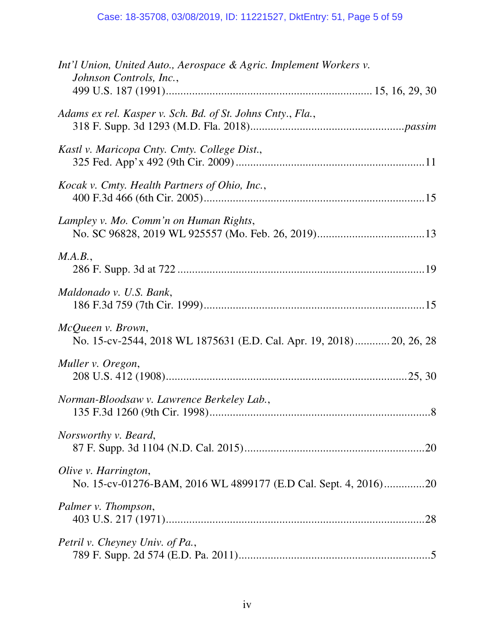| Int'l Union, United Auto., Aerospace & Agric. Implement Workers v.<br>Johnson Controls, Inc., |
|-----------------------------------------------------------------------------------------------|
| Adams ex rel. Kasper v. Sch. Bd. of St. Johns Cnty., Fla.,                                    |
| Kastl v. Maricopa Cnty. Cmty. College Dist.,                                                  |
| Kocak v. Cmty. Health Partners of Ohio, Inc.,                                                 |
| Lampley v. Mo. Comm'n on Human Rights,                                                        |
| M.A.B.,                                                                                       |
| Maldonado v. U.S. Bank,                                                                       |
| McQueen v. Brown,<br>No. 15-cv-2544, 2018 WL 1875631 (E.D. Cal. Apr. 19, 2018) 20, 26, 28     |
| Muller v. Oregon,                                                                             |
| Norman-Bloodsaw v. Lawrence Berkeley Lab.,                                                    |
| Norsworthy v. Beard,                                                                          |
| Olive v. Harrington,<br>No. 15-cv-01276-BAM, 2016 WL 4899177 (E.D Cal. Sept. 4, 2016)20       |
| Palmer v. Thompson,                                                                           |
| Petril v. Cheyney Univ. of Pa.,                                                               |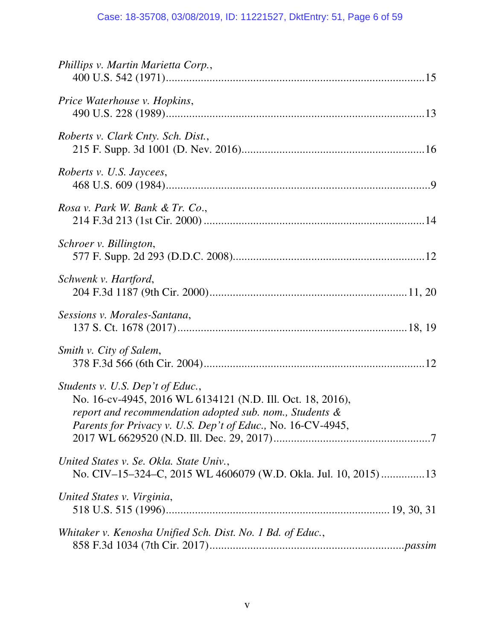## Case: 18-35708, 03/08/2019, ID: 11221527, DktEntry: 51, Page 6 of 59

| Phillips v. Martin Marietta Corp.,                                                                                                                                                                                       |
|--------------------------------------------------------------------------------------------------------------------------------------------------------------------------------------------------------------------------|
| Price Waterhouse v. Hopkins,                                                                                                                                                                                             |
| Roberts v. Clark Cnty. Sch. Dist.,                                                                                                                                                                                       |
| Roberts v. U.S. Jaycees,                                                                                                                                                                                                 |
| Rosa v. Park W. Bank & Tr. Co.,                                                                                                                                                                                          |
| Schroer v. Billington,                                                                                                                                                                                                   |
| Schwenk v. Hartford,                                                                                                                                                                                                     |
| Sessions v. Morales-Santana,                                                                                                                                                                                             |
| Smith v. City of Salem,                                                                                                                                                                                                  |
| Students v. U.S. Dep't of Educ.,<br>No. 16-cv-4945, 2016 WL 6134121 (N.D. Ill. Oct. 18, 2016),<br>report and recommendation adopted sub. nom., Students &<br>Parents for Privacy v. U.S. Dep't of Educ., No. 16-CV-4945, |
| United States v. Se. Okla. State Univ.,<br>No. CIV-15-324-C, 2015 WL 4606079 (W.D. Okla. Jul. 10, 2015)13                                                                                                                |
| United States v. Virginia,                                                                                                                                                                                               |
| Whitaker v. Kenosha Unified Sch. Dist. No. 1 Bd. of Educ.,                                                                                                                                                               |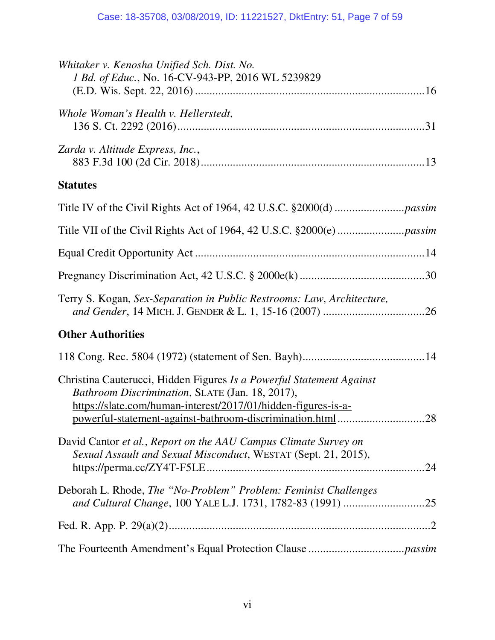| Whitaker v. Kenosha Unified Sch. Dist. No.<br>1 Bd. of Educ., No. 16-CV-943-PP, 2016 WL 5239829                                                                                                                                                        |
|--------------------------------------------------------------------------------------------------------------------------------------------------------------------------------------------------------------------------------------------------------|
| Whole Woman's Health v. Hellerstedt,                                                                                                                                                                                                                   |
| Zarda v. Altitude Express, Inc.,                                                                                                                                                                                                                       |
| <b>Statutes</b>                                                                                                                                                                                                                                        |
|                                                                                                                                                                                                                                                        |
|                                                                                                                                                                                                                                                        |
|                                                                                                                                                                                                                                                        |
|                                                                                                                                                                                                                                                        |
| Terry S. Kogan, Sex-Separation in Public Restrooms: Law, Architecture,                                                                                                                                                                                 |
| <b>Other Authorities</b>                                                                                                                                                                                                                               |
|                                                                                                                                                                                                                                                        |
| Christina Cauterucci, Hidden Figures Is a Powerful Statement Against<br>Bathroom Discrimination, SLATE (Jan. 18, 2017),<br>https://slate.com/human-interest/2017/01/hidden-figures-is-a-<br>powerful-statement-against-bathroom-discrimination.html 28 |
| David Cantor et al., Report on the AAU Campus Climate Survey on<br>Sexual Assault and Sexual Misconduct, WESTAT (Sept. 21, 2015),                                                                                                                      |
| Deborah L. Rhode, The "No-Problem" Problem: Feminist Challenges                                                                                                                                                                                        |
|                                                                                                                                                                                                                                                        |
|                                                                                                                                                                                                                                                        |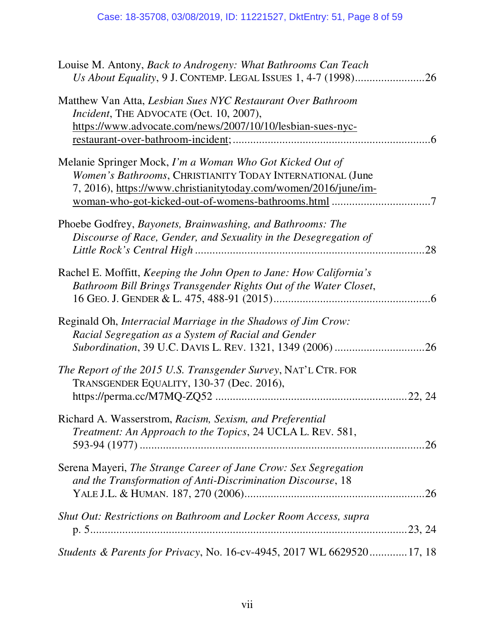| Louise M. Antony, Back to Androgeny: What Bathrooms Can Teach<br>Us About Equality, 9 J. CONTEMP. LEGAL ISSUES 1, 4-7 (1998)26                                                           |     |
|------------------------------------------------------------------------------------------------------------------------------------------------------------------------------------------|-----|
| Matthew Van Atta, Lesbian Sues NYC Restaurant Over Bathroom<br>Incident, THE ADVOCATE (Oct. 10, 2007),<br>https://www.advocate.com/news/2007/10/10/lesbian-sues-nyc-                     |     |
| Melanie Springer Mock, I'm a Woman Who Got Kicked Out of<br>Women's Bathrooms, CHRISTIANITY TODAY INTERNATIONAL (June<br>7, 2016), https://www.christianitytoday.com/women/2016/june/im- |     |
| Phoebe Godfrey, Bayonets, Brainwashing, and Bathrooms: The<br>Discourse of Race, Gender, and Sexuality in the Desegregation of                                                           | .28 |
| Rachel E. Moffitt, Keeping the John Open to Jane: How California's<br>Bathroom Bill Brings Transgender Rights Out of the Water Closet,                                                   |     |
| Reginald Oh, Interracial Marriage in the Shadows of Jim Crow:<br>Racial Segregation as a System of Racial and Gender                                                                     |     |
| The Report of the 2015 U.S. Transgender Survey, NAT'L CTR. FOR<br>TRANSGENDER EQUALITY, 130-37 (Dec. 2016),                                                                              |     |
| Richard A. Wasserstrom, Racism, Sexism, and Preferential<br>Treatment: An Approach to the Topics, 24 UCLA L. REV. 581,                                                                   |     |
| Serena Mayeri, The Strange Career of Jane Crow: Sex Segregation<br>and the Transformation of Anti-Discrimination Discourse, 18                                                           |     |
| Shut Out: Restrictions on Bathroom and Locker Room Access, supra                                                                                                                         |     |
| Students & Parents for Privacy, No. 16-cv-4945, 2017 WL 662952017, 18                                                                                                                    |     |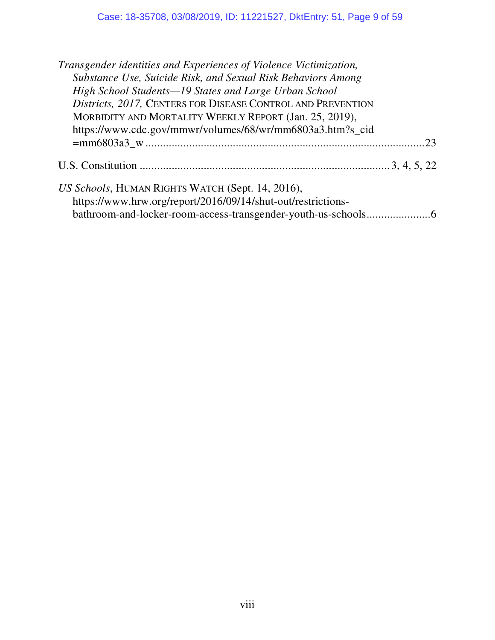| Transgender identities and Experiences of Violence Victimization,<br>Substance Use, Suicide Risk, and Sexual Risk Behaviors Among<br>High School Students-19 States and Large Urban School |    |
|--------------------------------------------------------------------------------------------------------------------------------------------------------------------------------------------|----|
| Districts, 2017, CENTERS FOR DISEASE CONTROL AND PREVENTION<br>MORBIDITY AND MORTALITY WEEKLY REPORT (Jan. 25, 2019),<br>https://www.cdc.gov/mmwr/volumes/68/wr/mm6803a3.htm?s cid         |    |
|                                                                                                                                                                                            | 23 |
|                                                                                                                                                                                            |    |
| US Schools, HUMAN RIGHTS WATCH (Sept. 14, 2016),<br>https://www.hrw.org/report/2016/09/14/shut-out/restrictions-                                                                           |    |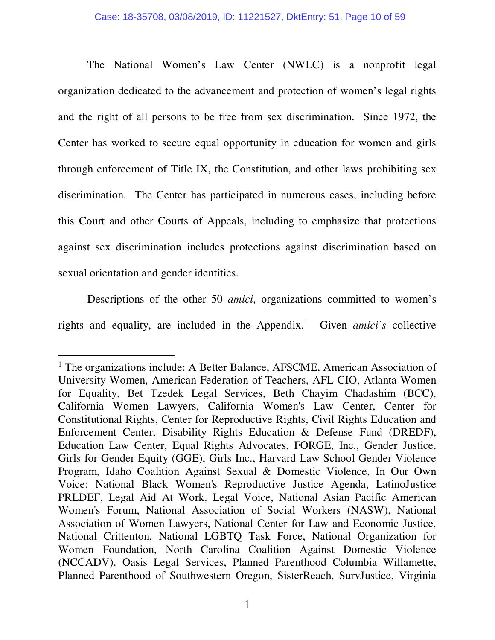The National Women's Law Center (NWLC) is a nonprofit legal organization dedicated to the advancement and protection of women's legal rights and the right of all persons to be free from sex discrimination. Since 1972, the Center has worked to secure equal opportunity in education for women and girls through enforcement of Title IX, the Constitution, and other laws prohibiting sex discrimination. The Center has participated in numerous cases, including before this Court and other Courts of Appeals, including to emphasize that protections against sex discrimination includes protections against discrimination based on sexual orientation and gender identities.

 Descriptions of the other 50 *amici*, organizations committed to women's rights and equality, are included in the Appendix.<sup>1</sup> Given *amici's* collective

-

<sup>&</sup>lt;sup>1</sup> The organizations include: A Better Balance, AFSCME, American Association of University Women, American Federation of Teachers, AFL-CIO, Atlanta Women for Equality, Bet Tzedek Legal Services, Beth Chayim Chadashim (BCC), California Women Lawyers, California Women's Law Center, Center for Constitutional Rights, Center for Reproductive Rights, Civil Rights Education and Enforcement Center, Disability Rights Education & Defense Fund (DREDF), Education Law Center, Equal Rights Advocates, FORGE, Inc., Gender Justice, Girls for Gender Equity (GGE), Girls Inc., Harvard Law School Gender Violence Program, Idaho Coalition Against Sexual & Domestic Violence, In Our Own Voice: National Black Women's Reproductive Justice Agenda, LatinoJustice PRLDEF, Legal Aid At Work, Legal Voice, National Asian Pacific American Women's Forum, National Association of Social Workers (NASW), National Association of Women Lawyers, National Center for Law and Economic Justice, National Crittenton, National LGBTQ Task Force, National Organization for Women Foundation, North Carolina Coalition Against Domestic Violence (NCCADV), Oasis Legal Services, Planned Parenthood Columbia Willamette, Planned Parenthood of Southwestern Oregon, SisterReach, SurvJustice, Virginia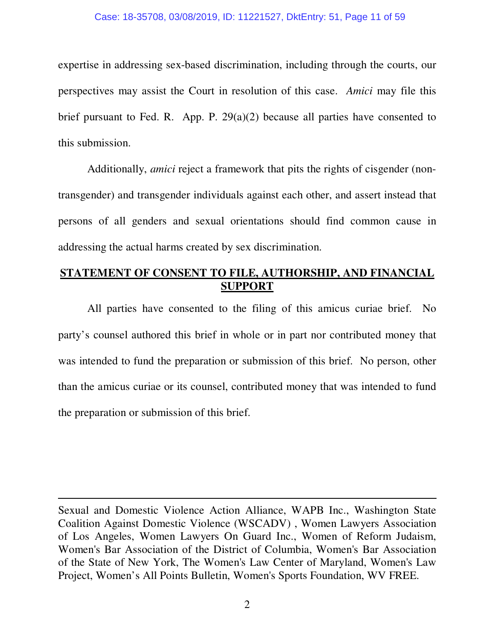#### Case: 18-35708, 03/08/2019, ID: 11221527, DktEntry: 51, Page 11 of 59

expertise in addressing sex-based discrimination, including through the courts, our perspectives may assist the Court in resolution of this case. *Amici* may file this brief pursuant to Fed. R. App. P. 29(a)(2) because all parties have consented to this submission.

 Additionally, *amici* reject a framework that pits the rights of cisgender (nontransgender) and transgender individuals against each other, and assert instead that persons of all genders and sexual orientations should find common cause in addressing the actual harms created by sex discrimination.

#### **STATEMENT OF CONSENT TO FILE, AUTHORSHIP, AND FINANCIAL SUPPORT**

 All parties have consented to the filing of this amicus curiae brief. No party's counsel authored this brief in whole or in part nor contributed money that was intended to fund the preparation or submission of this brief. No person, other than the amicus curiae or its counsel, contributed money that was intended to fund the preparation or submission of this brief.

 $\overline{a}$ 

Sexual and Domestic Violence Action Alliance, WAPB Inc., Washington State Coalition Against Domestic Violence (WSCADV) , Women Lawyers Association of Los Angeles, Women Lawyers On Guard Inc., Women of Reform Judaism, Women's Bar Association of the District of Columbia, Women's Bar Association of the State of New York, The Women's Law Center of Maryland, Women's Law Project, Women's All Points Bulletin, Women's Sports Foundation, WV FREE.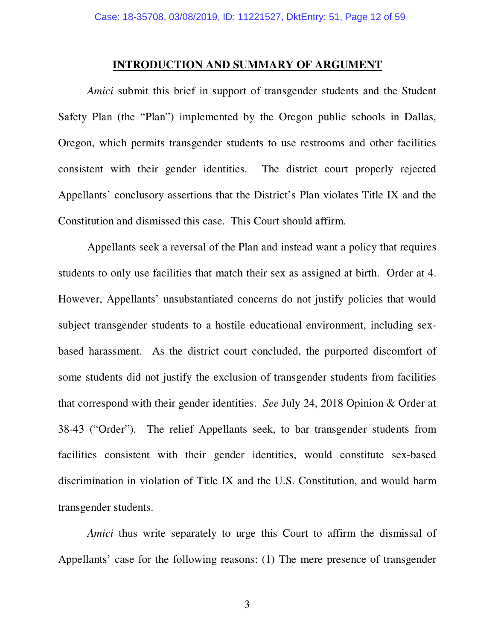#### **INTRODUCTION AND SUMMARY OF ARGUMENT**

*Amici* submit this brief in support of transgender students and the Student Safety Plan (the "Plan") implemented by the Oregon public schools in Dallas, Oregon, which permits transgender students to use restrooms and other facilities consistent with their gender identities. The district court properly rejected Appellants' conclusory assertions that the District's Plan violates Title IX and the Constitution and dismissed this case. This Court should affirm.

Appellants seek a reversal of the Plan and instead want a policy that requires students to only use facilities that match their sex as assigned at birth. Order at 4. However, Appellants' unsubstantiated concerns do not justify policies that would subject transgender students to a hostile educational environment, including sexbased harassment. As the district court concluded, the purported discomfort of some students did not justify the exclusion of transgender students from facilities that correspond with their gender identities. *See* July 24, 2018 Opinion & Order at 38-43 ("Order"). The relief Appellants seek, to bar transgender students from facilities consistent with their gender identities, would constitute sex-based discrimination in violation of Title IX and the U.S. Constitution, and would harm transgender students.

*Amici* thus write separately to urge this Court to affirm the dismissal of Appellants' case for the following reasons: (1) The mere presence of transgender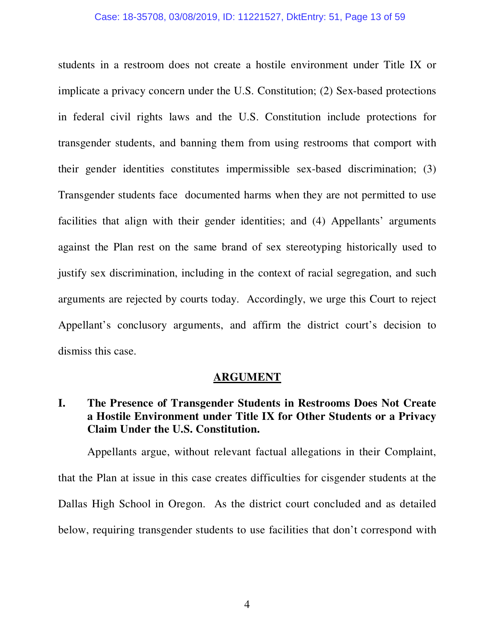#### Case: 18-35708, 03/08/2019, ID: 11221527, DktEntry: 51, Page 13 of 59

students in a restroom does not create a hostile environment under Title IX or implicate a privacy concern under the U.S. Constitution; (2) Sex-based protections in federal civil rights laws and the U.S. Constitution include protections for transgender students, and banning them from using restrooms that comport with their gender identities constitutes impermissible sex-based discrimination; (3) Transgender students face documented harms when they are not permitted to use facilities that align with their gender identities; and (4) Appellants' arguments against the Plan rest on the same brand of sex stereotyping historically used to justify sex discrimination, including in the context of racial segregation, and such arguments are rejected by courts today. Accordingly, we urge this Court to reject Appellant's conclusory arguments, and affirm the district court's decision to dismiss this case.

#### **ARGUMENT**

**I. The Presence of Transgender Students in Restrooms Does Not Create a Hostile Environment under Title IX for Other Students or a Privacy Claim Under the U.S. Constitution.** 

Appellants argue, without relevant factual allegations in their Complaint, that the Plan at issue in this case creates difficulties for cisgender students at the Dallas High School in Oregon. As the district court concluded and as detailed below, requiring transgender students to use facilities that don't correspond with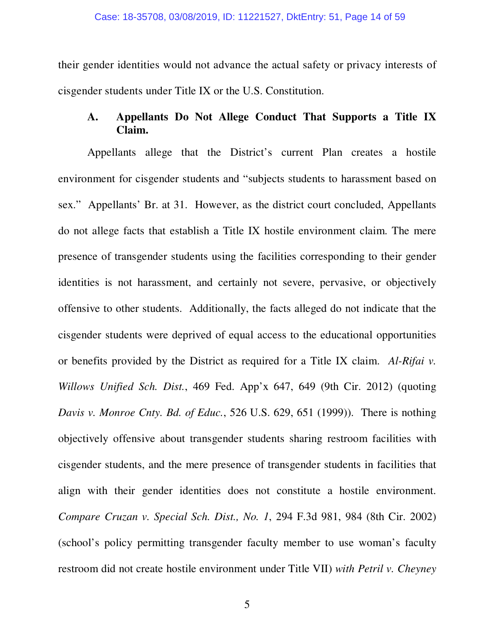their gender identities would not advance the actual safety or privacy interests of cisgender students under Title IX or the U.S. Constitution.

#### **A. Appellants Do Not Allege Conduct That Supports a Title IX Claim.**

Appellants allege that the District's current Plan creates a hostile environment for cisgender students and "subjects students to harassment based on sex." Appellants' Br. at 31. However, as the district court concluded, Appellants do not allege facts that establish a Title IX hostile environment claim. The mere presence of transgender students using the facilities corresponding to their gender identities is not harassment, and certainly not severe, pervasive, or objectively offensive to other students. Additionally, the facts alleged do not indicate that the cisgender students were deprived of equal access to the educational opportunities or benefits provided by the District as required for a Title IX claim. *Al-Rifai v. Willows Unified Sch. Dist.*, 469 Fed. App'x 647, 649 (9th Cir. 2012) (quoting *Davis v. Monroe Cnty. Bd. of Educ.*, 526 U.S. 629, 651 (1999)). There is nothing objectively offensive about transgender students sharing restroom facilities with cisgender students, and the mere presence of transgender students in facilities that align with their gender identities does not constitute a hostile environment. *Compare Cruzan v. Special Sch. Dist., No. 1*, 294 F.3d 981, 984 (8th Cir. 2002) (school's policy permitting transgender faculty member to use woman's faculty restroom did not create hostile environment under Title VII) *with Petril v. Cheyney*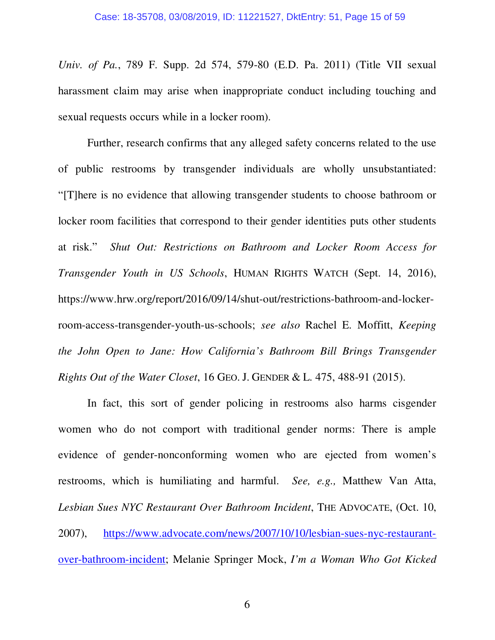*Univ. of Pa.*, 789 F. Supp. 2d 574, 579-80 (E.D. Pa. 2011) (Title VII sexual harassment claim may arise when inappropriate conduct including touching and sexual requests occurs while in a locker room).

Further, research confirms that any alleged safety concerns related to the use of public restrooms by transgender individuals are wholly unsubstantiated: "[T]here is no evidence that allowing transgender students to choose bathroom or locker room facilities that correspond to their gender identities puts other students at risk." *Shut Out: Restrictions on Bathroom and Locker Room Access for Transgender Youth in US Schools*, HUMAN RIGHTS WATCH (Sept. 14, 2016), https://www.hrw.org/report/2016/09/14/shut-out/restrictions-bathroom-and-lockerroom-access-transgender-youth-us-schools; *see also* Rachel E. Moffitt, *Keeping the John Open to Jane: How California's Bathroom Bill Brings Transgender Rights Out of the Water Closet*, 16 GEO. J. GENDER & L. 475, 488-91 (2015).

In fact, this sort of gender policing in restrooms also harms cisgender women who do not comport with traditional gender norms: There is ample evidence of gender-nonconforming women who are ejected from women's restrooms, which is humiliating and harmful. *See, e.g.,* Matthew Van Atta, *Lesbian Sues NYC Restaurant Over Bathroom Incident*, THE ADVOCATE, (Oct. 10, 2007), https://www.advocate.com/news/2007/10/10/lesbian-sues-nyc-restaurantover-bathroom-incident; Melanie Springer Mock, *I'm a Woman Who Got Kicked*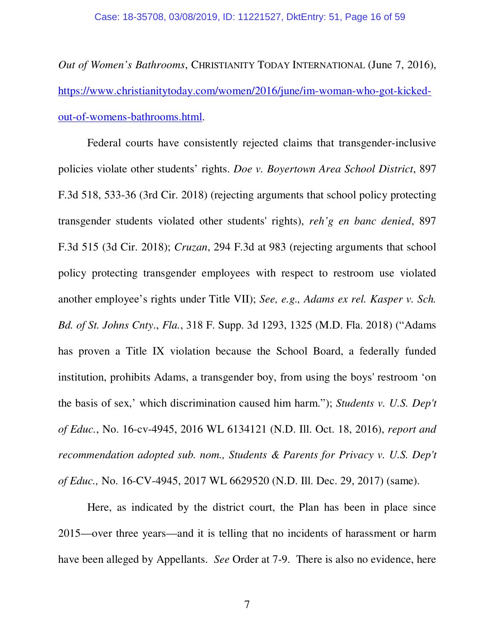*Out of Women's Bathrooms*, CHRISTIANITY TODAY INTERNATIONAL (June 7, 2016), https://www.christianitytoday.com/women/2016/june/im-woman-who-got-kickedout-of-womens-bathrooms.html.

 Federal courts have consistently rejected claims that transgender-inclusive policies violate other students' rights. *Doe v. Boyertown Area School District*, 897 F.3d 518, 533-36 (3rd Cir. 2018) (rejecting arguments that school policy protecting transgender students violated other students' rights), *reh'g en banc denied*, 897 F.3d 515 (3d Cir. 2018); *Cruzan*, 294 F.3d at 983 (rejecting arguments that school policy protecting transgender employees with respect to restroom use violated another employee's rights under Title VII); *See, e.g., Adams ex rel. Kasper v. Sch. Bd. of St. Johns Cnty*., *Fla.*, 318 F. Supp. 3d 1293, 1325 (M.D. Fla. 2018) ("Adams has proven a Title IX violation because the School Board, a federally funded institution, prohibits Adams, a transgender boy, from using the boys' restroom 'on the basis of sex,' which discrimination caused him harm."); *Students v. U.S. Dep't of Educ.*, No. 16-cv-4945, 2016 WL 6134121 (N.D. Ill. Oct. 18, 2016), *report and recommendation adopted sub. nom., Students & Parents for Privacy v. U.S. Dep't of Educ.,* No. 16-CV-4945, 2017 WL 6629520 (N.D. Ill. Dec. 29, 2017) (same).

 Here, as indicated by the district court, the Plan has been in place since 2015—over three years—and it is telling that no incidents of harassment or harm have been alleged by Appellants. *See* Order at 7-9. There is also no evidence, here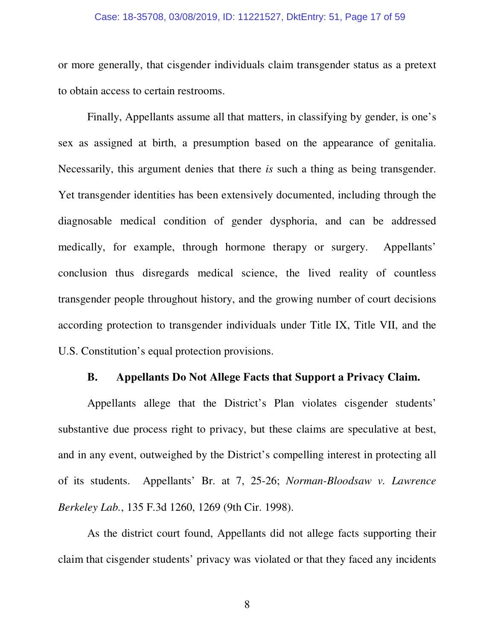#### Case: 18-35708, 03/08/2019, ID: 11221527, DktEntry: 51, Page 17 of 59

or more generally, that cisgender individuals claim transgender status as a pretext to obtain access to certain restrooms.

 Finally, Appellants assume all that matters, in classifying by gender, is one's sex as assigned at birth, a presumption based on the appearance of genitalia. Necessarily, this argument denies that there *is* such a thing as being transgender. Yet transgender identities has been extensively documented, including through the diagnosable medical condition of gender dysphoria, and can be addressed medically, for example, through hormone therapy or surgery. Appellants' conclusion thus disregards medical science, the lived reality of countless transgender people throughout history, and the growing number of court decisions according protection to transgender individuals under Title IX, Title VII, and the U.S. Constitution's equal protection provisions.

#### **B. Appellants Do Not Allege Facts that Support a Privacy Claim.**

Appellants allege that the District's Plan violates cisgender students' substantive due process right to privacy, but these claims are speculative at best, and in any event, outweighed by the District's compelling interest in protecting all of its students. Appellants' Br. at 7, 25-26; *Norman-Bloodsaw v. Lawrence Berkeley Lab.*, 135 F.3d 1260, 1269 (9th Cir. 1998).

As the district court found, Appellants did not allege facts supporting their claim that cisgender students' privacy was violated or that they faced any incidents

8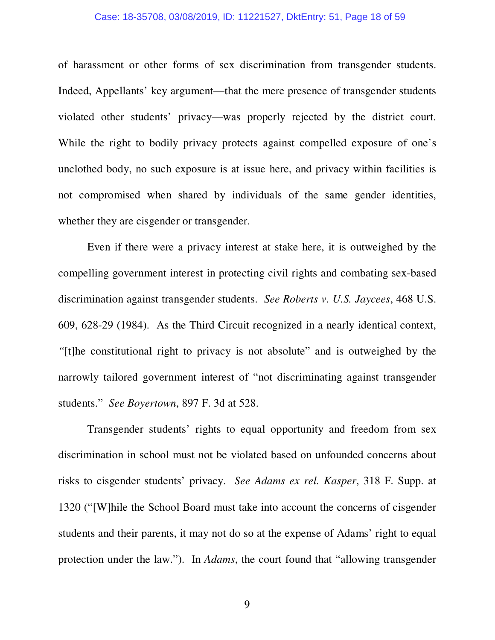#### Case: 18-35708, 03/08/2019, ID: 11221527, DktEntry: 51, Page 18 of 59

of harassment or other forms of sex discrimination from transgender students. Indeed, Appellants' key argument—that the mere presence of transgender students violated other students' privacy—was properly rejected by the district court. While the right to bodily privacy protects against compelled exposure of one's unclothed body, no such exposure is at issue here, and privacy within facilities is not compromised when shared by individuals of the same gender identities, whether they are cisgender or transgender.

Even if there were a privacy interest at stake here, it is outweighed by the compelling government interest in protecting civil rights and combating sex-based discrimination against transgender students. *See Roberts v. U.S. Jaycees*, 468 U.S. 609, 628-29 (1984). As the Third Circuit recognized in a nearly identical context, *"*[t]he constitutional right to privacy is not absolute" and is outweighed by the narrowly tailored government interest of "not discriminating against transgender students." *See Boyertown*, 897 F. 3d at 528.

Transgender students' rights to equal opportunity and freedom from sex discrimination in school must not be violated based on unfounded concerns about risks to cisgender students' privacy. *See Adams ex rel. Kasper*, 318 F. Supp. at 1320 ("[W]hile the School Board must take into account the concerns of cisgender students and their parents, it may not do so at the expense of Adams' right to equal protection under the law."). In *Adams*, the court found that "allowing transgender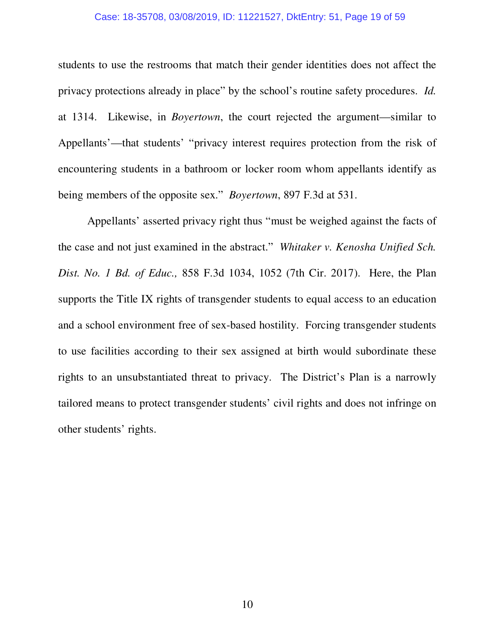#### Case: 18-35708, 03/08/2019, ID: 11221527, DktEntry: 51, Page 19 of 59

students to use the restrooms that match their gender identities does not affect the privacy protections already in place" by the school's routine safety procedures. *Id.*  at 1314. Likewise, in *Boyertown*, the court rejected the argument—similar to Appellants'—that students' "privacy interest requires protection from the risk of encountering students in a bathroom or locker room whom appellants identify as being members of the opposite sex." *Boyertown*, 897 F.3d at 531.

Appellants' asserted privacy right thus "must be weighed against the facts of the case and not just examined in the abstract." *Whitaker v. Kenosha Unified Sch. Dist. No. 1 Bd. of Educ.,* 858 F.3d 1034, 1052 (7th Cir. 2017).Here, the Plan supports the Title IX rights of transgender students to equal access to an education and a school environment free of sex-based hostility. Forcing transgender students to use facilities according to their sex assigned at birth would subordinate these rights to an unsubstantiated threat to privacy. The District's Plan is a narrowly tailored means to protect transgender students' civil rights and does not infringe on other students' rights.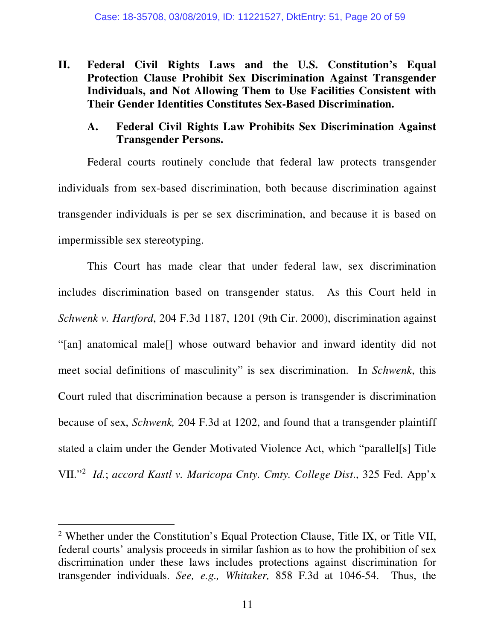**II. Federal Civil Rights Laws and the U.S. Constitution's Equal Protection Clause Prohibit Sex Discrimination Against Transgender Individuals, and Not Allowing Them to Use Facilities Consistent with Their Gender Identities Constitutes Sex-Based Discrimination.**

#### **A. Federal Civil Rights Law Prohibits Sex Discrimination Against Transgender Persons.**

 Federal courts routinely conclude that federal law protects transgender individuals from sex-based discrimination, both because discrimination against transgender individuals is per se sex discrimination, and because it is based on impermissible sex stereotyping.

 This Court has made clear that under federal law, sex discrimination includes discrimination based on transgender status. As this Court held in *Schwenk v. Hartford*, 204 F.3d 1187, 1201 (9th Cir. 2000), discrimination against "[an] anatomical male[] whose outward behavior and inward identity did not meet social definitions of masculinity" is sex discrimination. In *Schwenk*, this Court ruled that discrimination because a person is transgender is discrimination because of sex, *Schwenk,* 204 F.3d at 1202, and found that a transgender plaintiff stated a claim under the Gender Motivated Violence Act, which "parallel[s] Title VII."<sup>2</sup> *Id.*; *accord Kastl v. Maricopa Cnty. Cmty. College Dist*., 325 Fed. App'x

 $\overline{a}$ 

<sup>&</sup>lt;sup>2</sup> Whether under the Constitution's Equal Protection Clause, Title IX, or Title VII, federal courts' analysis proceeds in similar fashion as to how the prohibition of sex discrimination under these laws includes protections against discrimination for transgender individuals. *See, e.g., Whitaker,* 858 F.3d at 1046-54. Thus, the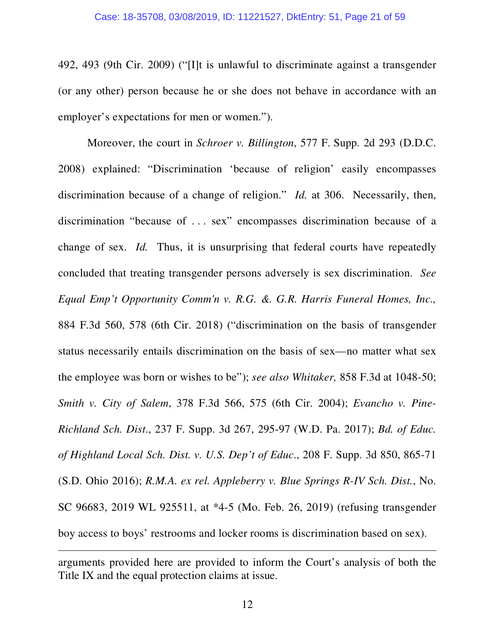492, 493 (9th Cir. 2009) ("[I]t is unlawful to discriminate against a transgender (or any other) person because he or she does not behave in accordance with an employer's expectations for men or women.").

 Moreover, the court in *Schroer v. Billington*, 577 F. Supp. 2d 293 (D.D.C. 2008) explained: "Discrimination 'because of religion' easily encompasses discrimination because of a change of religion." *Id.* at 306. Necessarily, then, discrimination "because of . . . sex" encompasses discrimination because of a change of sex. *Id.* Thus, it is unsurprising that federal courts have repeatedly concluded that treating transgender persons adversely is sex discrimination. *See Equal Emp't Opportunity Comm'n v. R.G. &. G.R. Harris Funeral Homes, Inc.,* 884 F.3d 560, 578 (6th Cir. 2018) ("discrimination on the basis of transgender status necessarily entails discrimination on the basis of sex—no matter what sex the employee was born or wishes to be"); *see also Whitaker,* 858 F.3d at 1048-50; *Smith v. City of Salem*, 378 F.3d 566, 575 (6th Cir. 2004); *Evancho v. Pine-Richland Sch. Dist*., 237 F. Supp. 3d 267, 295-97 (W.D. Pa. 2017); *Bd. of Educ. of Highland Local Sch. Dist. v. U.S. Dep't of Educ*., 208 F. Supp. 3d 850, 865-71 (S.D. Ohio 2016); *R.M.A. ex rel. Appleberry v. Blue Springs R-IV Sch. Dist.*, No. SC 96683, 2019 WL 925511, at \*4-5 (Mo. Feb. 26, 2019) (refusing transgender boy access to boys' restrooms and locker rooms is discrimination based on sex).

-

arguments provided here are provided to inform the Court's analysis of both the Title IX and the equal protection claims at issue.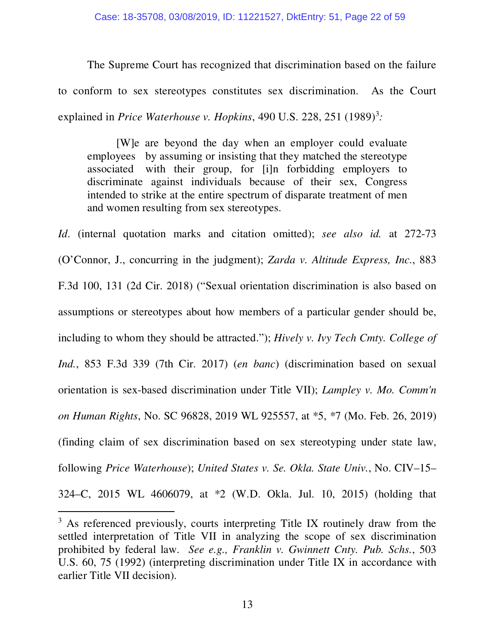The Supreme Court has recognized that discrimination based on the failure to conform to sex stereotypes constitutes sex discrimination. As the Court explained in *Price Waterhouse v. Hopkins*, 490 U.S. 228, 251 (1989)<sup>3</sup>:

[W]e are beyond the day when an employer could evaluate employees by assuming or insisting that they matched the stereotype associated with their group, for [i]n forbidding employers to discriminate against individuals because of their sex, Congress intended to strike at the entire spectrum of disparate treatment of men and women resulting from sex stereotypes.

*Id*. (internal quotation marks and citation omitted); *see also id.* at 272-73 (O'Connor, J., concurring in the judgment); *Zarda v. Altitude Express, Inc.*, 883 F.3d 100, 131 (2d Cir. 2018) ("Sexual orientation discrimination is also based on assumptions or stereotypes about how members of a particular gender should be, including to whom they should be attracted."); *Hively v. Ivy Tech Cmty. College of Ind.*, 853 F.3d 339 (7th Cir. 2017) (*en banc*) (discrimination based on sexual orientation is sex-based discrimination under Title VII); *Lampley v. Mo. Comm'n on Human Rights*, No. SC 96828, 2019 WL 925557, at \*5, \*7 (Mo. Feb. 26, 2019) (finding claim of sex discrimination based on sex stereotyping under state law, following *Price Waterhouse*); *United States v. Se. Okla. State Univ.*, No. CIV–15– 324–C, 2015 WL 4606079, at \*2 (W.D. Okla. Jul. 10, 2015) (holding that

 $\overline{a}$ 

<sup>&</sup>lt;sup>3</sup> As referenced previously, courts interpreting Title IX routinely draw from the settled interpretation of Title VII in analyzing the scope of sex discrimination prohibited by federal law. *See e.g., Franklin v. Gwinnett Cnty. Pub. Schs.*, 503 U.S. 60, 75 (1992) (interpreting discrimination under Title IX in accordance with earlier Title VII decision).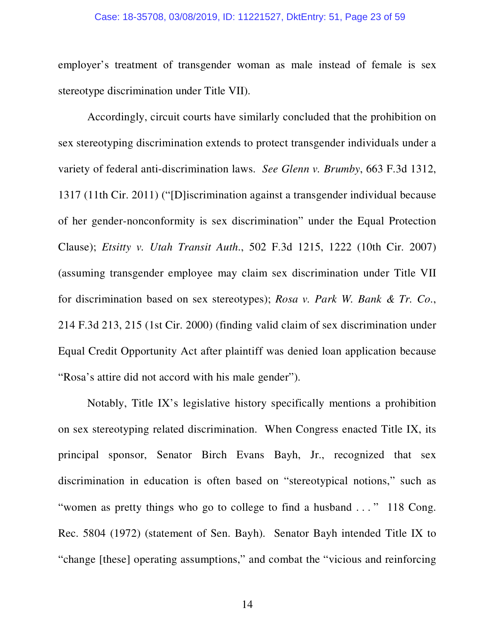#### Case: 18-35708, 03/08/2019, ID: 11221527, DktEntry: 51, Page 23 of 59

employer's treatment of transgender woman as male instead of female is sex stereotype discrimination under Title VII).

Accordingly, circuit courts have similarly concluded that the prohibition on sex stereotyping discrimination extends to protect transgender individuals under a variety of federal anti-discrimination laws. *See Glenn v. Brumby*, 663 F.3d 1312, 1317 (11th Cir. 2011) ("[D]iscrimination against a transgender individual because of her gender-nonconformity is sex discrimination" under the Equal Protection Clause); *Etsitty v. Utah Transit Auth*., 502 F.3d 1215, 1222 (10th Cir. 2007) (assuming transgender employee may claim sex discrimination under Title VII for discrimination based on sex stereotypes); *Rosa v. Park W. Bank & Tr. Co*., 214 F.3d 213, 215 (1st Cir. 2000) (finding valid claim of sex discrimination under Equal Credit Opportunity Act after plaintiff was denied loan application because "Rosa's attire did not accord with his male gender").

 Notably, Title IX's legislative history specifically mentions a prohibition on sex stereotyping related discrimination. When Congress enacted Title IX, its principal sponsor, Senator Birch Evans Bayh, Jr., recognized that sex discrimination in education is often based on "stereotypical notions," such as "women as pretty things who go to college to find a husband . . . " 118 Cong. Rec. 5804 (1972) (statement of Sen. Bayh). Senator Bayh intended Title IX to "change [these] operating assumptions," and combat the "vicious and reinforcing

14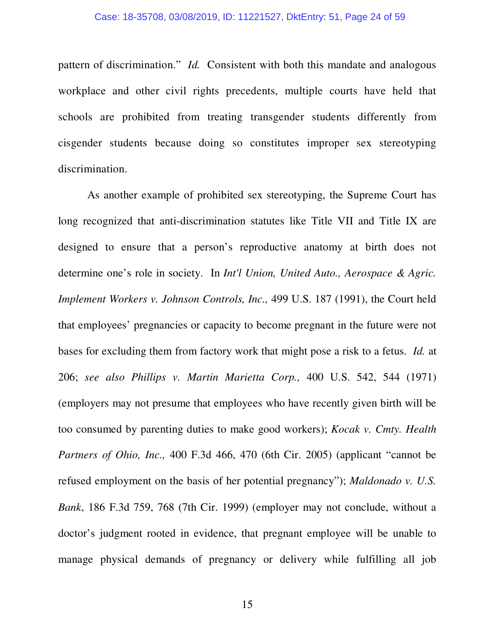pattern of discrimination." *Id.* Consistent with both this mandate and analogous workplace and other civil rights precedents, multiple courts have held that schools are prohibited from treating transgender students differently from cisgender students because doing so constitutes improper sex stereotyping discrimination.

As another example of prohibited sex stereotyping, the Supreme Court has long recognized that anti-discrimination statutes like Title VII and Title IX are designed to ensure that a person's reproductive anatomy at birth does not determine one's role in society. In *Int'l Union, United Auto., Aerospace & Agric. Implement Workers v. Johnson Controls, Inc.,* 499 U.S. 187 (1991), the Court held that employees' pregnancies or capacity to become pregnant in the future were not bases for excluding them from factory work that might pose a risk to a fetus. *Id.* at 206; *see also Phillips v. Martin Marietta Corp.,* 400 U.S. 542, 544 (1971) (employers may not presume that employees who have recently given birth will be too consumed by parenting duties to make good workers); *Kocak v. Cmty. Health Partners of Ohio, Inc.,* 400 F.3d 466, 470 (6th Cir. 2005) (applicant "cannot be refused employment on the basis of her potential pregnancy"); *Maldonado v. U.S. Bank*, 186 F.3d 759, 768 (7th Cir. 1999) (employer may not conclude, without a doctor's judgment rooted in evidence, that pregnant employee will be unable to manage physical demands of pregnancy or delivery while fulfilling all job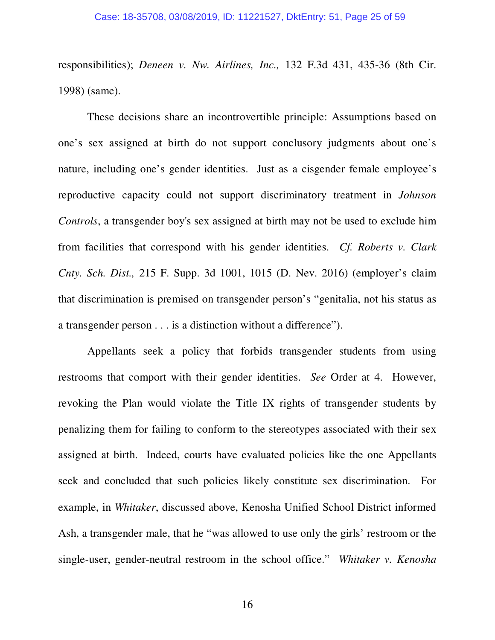#### Case: 18-35708, 03/08/2019, ID: 11221527, DktEntry: 51, Page 25 of 59

responsibilities); *Deneen v. Nw. Airlines, Inc.,* 132 F.3d 431, 435-36 (8th Cir. 1998) (same).

These decisions share an incontrovertible principle: Assumptions based on one's sex assigned at birth do not support conclusory judgments about one's nature, including one's gender identities. Just as a cisgender female employee's reproductive capacity could not support discriminatory treatment in *Johnson Controls*, a transgender boy's sex assigned at birth may not be used to exclude him from facilities that correspond with his gender identities. *Cf. Roberts v. Clark Cnty. Sch. Dist.,* 215 F. Supp. 3d 1001, 1015 (D. Nev. 2016) (employer's claim that discrimination is premised on transgender person's "genitalia, not his status as a transgender person . . . is a distinction without a difference").

Appellants seek a policy that forbids transgender students from using restrooms that comport with their gender identities. *See* Order at 4. However, revoking the Plan would violate the Title IX rights of transgender students by penalizing them for failing to conform to the stereotypes associated with their sex assigned at birth. Indeed, courts have evaluated policies like the one Appellants seek and concluded that such policies likely constitute sex discrimination. For example, in *Whitaker*, discussed above, Kenosha Unified School District informed Ash, a transgender male, that he "was allowed to use only the girls' restroom or the single-user, gender-neutral restroom in the school office." *Whitaker v. Kenosha*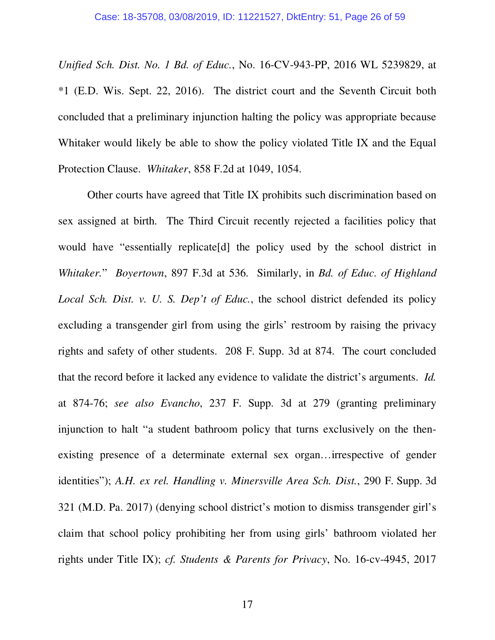*Unified Sch. Dist. No. 1 Bd. of Educ.*, No. 16-CV-943-PP, 2016 WL 5239829, at \*1 (E.D. Wis. Sept. 22, 2016). The district court and the Seventh Circuit both concluded that a preliminary injunction halting the policy was appropriate because Whitaker would likely be able to show the policy violated Title IX and the Equal Protection Clause. *Whitaker*, 858 F.2d at 1049, 1054.

 Other courts have agreed that Title IX prohibits such discrimination based on sex assigned at birth. The Third Circuit recently rejected a facilities policy that would have "essentially replicate[d] the policy used by the school district in *Whitaker.*" *Boyertown*, 897 F.3d at 536. Similarly, in *Bd. of Educ. of Highland Local Sch. Dist. v. U. S. Dep't of Educ.*, the school district defended its policy excluding a transgender girl from using the girls' restroom by raising the privacy rights and safety of other students. 208 F. Supp. 3d at 874. The court concluded that the record before it lacked any evidence to validate the district's arguments. *Id.* at 874-76; *see also Evancho*, 237 F. Supp. 3d at 279 (granting preliminary injunction to halt "a student bathroom policy that turns exclusively on the thenexisting presence of a determinate external sex organ…irrespective of gender identities"); *A.H. ex rel. Handling v. Minersville Area Sch. Dist.*, 290 F. Supp. 3d 321 (M.D. Pa. 2017) (denying school district's motion to dismiss transgender girl's claim that school policy prohibiting her from using girls' bathroom violated her rights under Title IX); *cf. Students & Parents for Privacy*, No. 16-cv-4945, 2017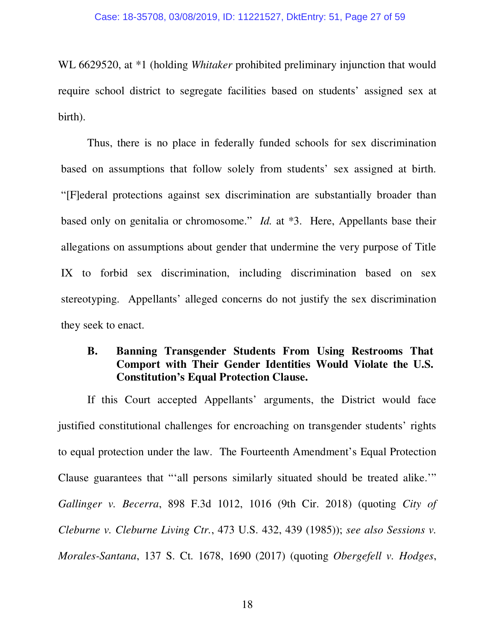WL 6629520, at \*1 (holding *Whitaker* prohibited preliminary injunction that would require school district to segregate facilities based on students' assigned sex at birth).

Thus, there is no place in federally funded schools for sex discrimination based on assumptions that follow solely from students' sex assigned at birth. "[F]ederal protections against sex discrimination are substantially broader than based only on genitalia or chromosome." *Id.* at \*3. Here, Appellants base their allegations on assumptions about gender that undermine the very purpose of Title IX to forbid sex discrimination, including discrimination based on sex stereotyping. Appellants' alleged concerns do not justify the sex discrimination they seek to enact.

#### **B. Banning Transgender Students From Using Restrooms That Comport with Their Gender Identities Would Violate the U.S. Constitution's Equal Protection Clause.**

If this Court accepted Appellants' arguments, the District would face justified constitutional challenges for encroaching on transgender students' rights to equal protection under the law. The Fourteenth Amendment's Equal Protection Clause guarantees that "'all persons similarly situated should be treated alike.'" *Gallinger v. Becerra*, 898 F.3d 1012, 1016 (9th Cir. 2018) (quoting *City of Cleburne v. Cleburne Living Ctr.*, 473 U.S. 432, 439 (1985)); *see also Sessions v. Morales-Santana*, 137 S. Ct. 1678, 1690 (2017) (quoting *Obergefell v. Hodges*,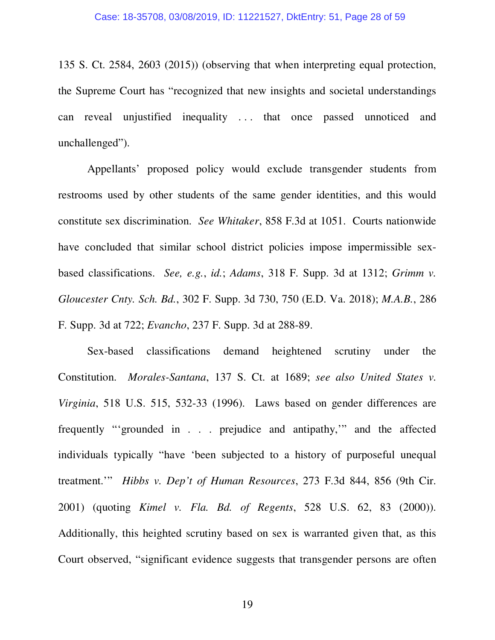135 S. Ct. 2584, 2603 (2015)) (observing that when interpreting equal protection, the Supreme Court has "recognized that new insights and societal understandings can reveal unjustified inequality . . . that once passed unnoticed and unchallenged").

Appellants' proposed policy would exclude transgender students from restrooms used by other students of the same gender identities, and this would constitute sex discrimination. *See Whitaker*, 858 F.3d at 1051. Courts nationwide have concluded that similar school district policies impose impermissible sexbased classifications. *See, e.g.*, *id.*; *Adams*, 318 F. Supp. 3d at 1312; *Grimm v. Gloucester Cnty. Sch. Bd.*, 302 F. Supp. 3d 730, 750 (E.D. Va. 2018); *M.A.B.*, 286 F. Supp. 3d at 722; *Evancho*, 237 F. Supp. 3d at 288-89.

Sex-based classifications demand heightened scrutiny under the Constitution. *Morales-Santana*, 137 S. Ct. at 1689; *see also United States v. Virginia*, 518 U.S. 515, 532-33 (1996). Laws based on gender differences are frequently "'grounded in . . . prejudice and antipathy,'" and the affected individuals typically "have 'been subjected to a history of purposeful unequal treatment.'" *Hibbs v. Dep't of Human Resources*, 273 F.3d 844, 856 (9th Cir. 2001) (quoting *Kimel v. Fla. Bd. of Regents*, 528 U.S. 62, 83 (2000)). Additionally, this heighted scrutiny based on sex is warranted given that, as this Court observed, "significant evidence suggests that transgender persons are often

19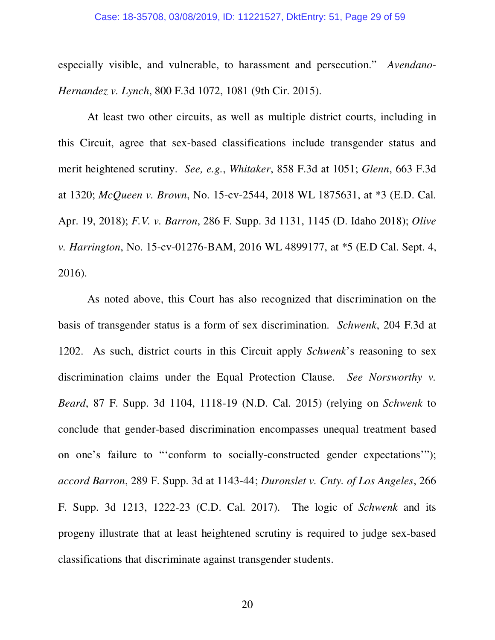#### Case: 18-35708, 03/08/2019, ID: 11221527, DktEntry: 51, Page 29 of 59

especially visible, and vulnerable, to harassment and persecution." *Avendano-Hernandez v. Lynch*, 800 F.3d 1072, 1081 (9th Cir. 2015).

At least two other circuits, as well as multiple district courts, including in this Circuit, agree that sex-based classifications include transgender status and merit heightened scrutiny. *See, e.g.*, *Whitaker*, 858 F.3d at 1051; *Glenn*, 663 F.3d at 1320; *McQueen v. Brown*, No. 15-cv-2544, 2018 WL 1875631, at \*3 (E.D. Cal. Apr. 19, 2018); *F.V. v. Barron*, 286 F. Supp. 3d 1131, 1145 (D. Idaho 2018); *Olive v. Harrington*, No. 15-cv-01276-BAM, 2016 WL 4899177, at \*5 (E.D Cal. Sept. 4, 2016).

As noted above, this Court has also recognized that discrimination on the basis of transgender status is a form of sex discrimination. *Schwenk*, 204 F.3d at 1202. As such, district courts in this Circuit apply *Schwenk*'s reasoning to sex discrimination claims under the Equal Protection Clause. *See Norsworthy v. Beard*, 87 F. Supp. 3d 1104, 1118-19 (N.D. Cal. 2015) (relying on *Schwenk* to conclude that gender-based discrimination encompasses unequal treatment based on one's failure to "'conform to socially-constructed gender expectations'"); *accord Barron*, 289 F. Supp. 3d at 1143-44; *Duronslet v. Cnty. of Los Angeles*, 266 F. Supp. 3d 1213, 1222-23 (C.D. Cal. 2017). The logic of *Schwenk* and its progeny illustrate that at least heightened scrutiny is required to judge sex-based classifications that discriminate against transgender students.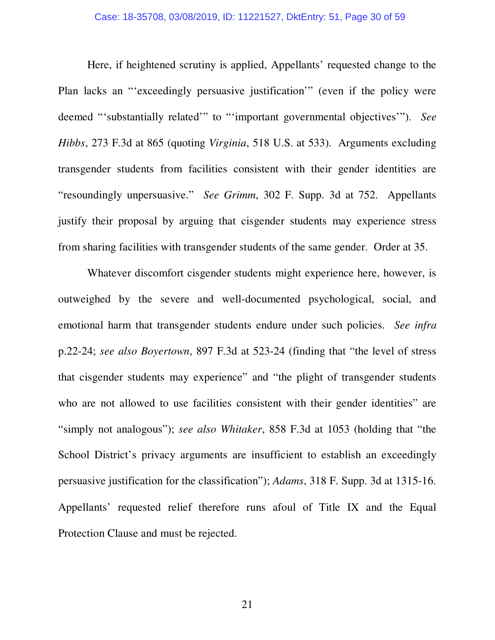#### Case: 18-35708, 03/08/2019, ID: 11221527, DktEntry: 51, Page 30 of 59

Here, if heightened scrutiny is applied, Appellants' requested change to the Plan lacks an "'exceedingly persuasive justification'" (even if the policy were deemed "'substantially related'" to "'important governmental objectives'"). *See Hibbs*, 273 F.3d at 865 (quoting *Virginia*, 518 U.S. at 533). Arguments excluding transgender students from facilities consistent with their gender identities are "resoundingly unpersuasive." *See Grimm*, 302 F. Supp. 3d at 752. Appellants justify their proposal by arguing that cisgender students may experience stress from sharing facilities with transgender students of the same gender. Order at 35.

Whatever discomfort cisgender students might experience here, however, is outweighed by the severe and well-documented psychological, social, and emotional harm that transgender students endure under such policies. *See infra*  p.22-24; *see also Boyertown*, 897 F.3d at 523-24 (finding that "the level of stress that cisgender students may experience" and "the plight of transgender students who are not allowed to use facilities consistent with their gender identities" are "simply not analogous"); *see also Whitaker*, 858 F.3d at 1053 (holding that "the School District's privacy arguments are insufficient to establish an exceedingly persuasive justification for the classification"); *Adams*, 318 F. Supp. 3d at 1315-16. Appellants' requested relief therefore runs afoul of Title IX and the Equal Protection Clause and must be rejected.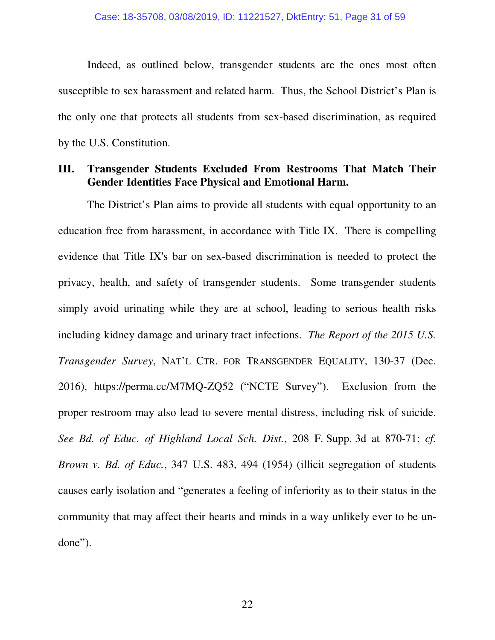Indeed, as outlined below, transgender students are the ones most often susceptible to sex harassment and related harm. Thus, the School District's Plan is the only one that protects all students from sex-based discrimination, as required by the U.S. Constitution.

#### **III. Transgender Students Excluded From Restrooms That Match Their Gender Identities Face Physical and Emotional Harm.**

The District's Plan aims to provide all students with equal opportunity to an education free from harassment, in accordance with Title IX. There is compelling evidence that Title IX's bar on sex-based discrimination is needed to protect the privacy, health, and safety of transgender students. Some transgender students simply avoid urinating while they are at school, leading to serious health risks including kidney damage and urinary tract infections. *The Report of the 2015 U.S. Transgender Survey*, NAT'L CTR. FOR TRANSGENDER EQUALITY, 130-37 (Dec. 2016), https://perma.cc/M7MQ-ZQ52 ("NCTE Survey"). Exclusion from the proper restroom may also lead to severe mental distress, including risk of suicide. *See Bd. of Educ. of Highland Local Sch. Dist.*, 208 F. Supp. 3d at 870-71; *cf. Brown v. Bd. of Educ.*, 347 U.S. 483, 494 (1954) (illicit segregation of students causes early isolation and "generates a feeling of inferiority as to their status in the community that may affect their hearts and minds in a way unlikely ever to be undone").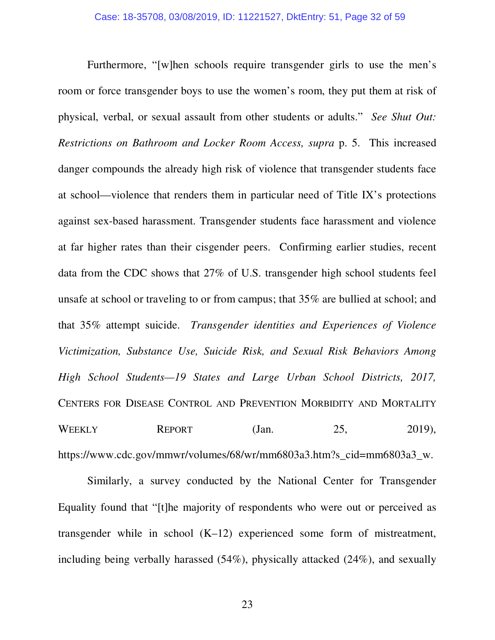Furthermore, "[w]hen schools require transgender girls to use the men's room or force transgender boys to use the women's room, they put them at risk of physical, verbal, or sexual assault from other students or adults." *See Shut Out: Restrictions on Bathroom and Locker Room Access, supra* p. 5. This increased danger compounds the already high risk of violence that transgender students face at school—violence that renders them in particular need of Title IX's protections against sex-based harassment. Transgender students face harassment and violence at far higher rates than their cisgender peers. Confirming earlier studies, recent data from the CDC shows that 27% of U.S. transgender high school students feel unsafe at school or traveling to or from campus; that 35% are bullied at school; and that 35% attempt suicide. *Transgender identities and Experiences of Violence Victimization, Substance Use, Suicide Risk, and Sexual Risk Behaviors Among High School Students—19 States and Large Urban School Districts, 2017,*  CENTERS FOR DISEASE CONTROL AND PREVENTION MORBIDITY AND MORTALITY WEEKLY REPORT (Jan. 25, 2019), https://www.cdc.gov/mmwr/volumes/68/wr/mm6803a3.htm?s\_cid=mm6803a3\_w.

Similarly, a survey conducted by the National Center for Transgender Equality found that "[t]he majority of respondents who were out or perceived as transgender while in school (K–12) experienced some form of mistreatment, including being verbally harassed (54%), physically attacked (24%), and sexually

23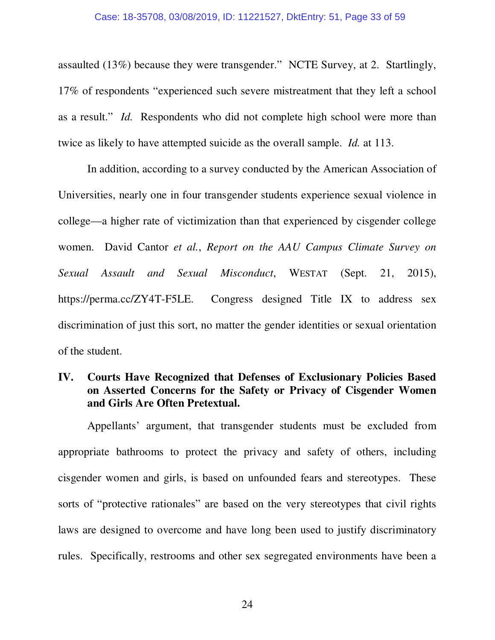#### Case: 18-35708, 03/08/2019, ID: 11221527, DktEntry: 51, Page 33 of 59

assaulted (13%) because they were transgender." NCTE Survey, at 2. Startlingly, 17% of respondents "experienced such severe mistreatment that they left a school as a result." *Id.* Respondents who did not complete high school were more than twice as likely to have attempted suicide as the overall sample. *Id.* at 113.

 In addition, according to a survey conducted by the American Association of Universities, nearly one in four transgender students experience sexual violence in college—a higher rate of victimization than that experienced by cisgender college women. David Cantor *et al.*, *Report on the AAU Campus Climate Survey on Sexual Assault and Sexual Misconduct*, WESTAT (Sept. 21, 2015), https://perma.cc/ZY4T-F5LE. Congress designed Title IX to address sex discrimination of just this sort, no matter the gender identities or sexual orientation of the student.

#### **IV. Courts Have Recognized that Defenses of Exclusionary Policies Based on Asserted Concerns for the Safety or Privacy of Cisgender Women and Girls Are Often Pretextual.**

 Appellants' argument, that transgender students must be excluded from appropriate bathrooms to protect the privacy and safety of others, including cisgender women and girls, is based on unfounded fears and stereotypes. These sorts of "protective rationales" are based on the very stereotypes that civil rights laws are designed to overcome and have long been used to justify discriminatory rules. Specifically, restrooms and other sex segregated environments have been a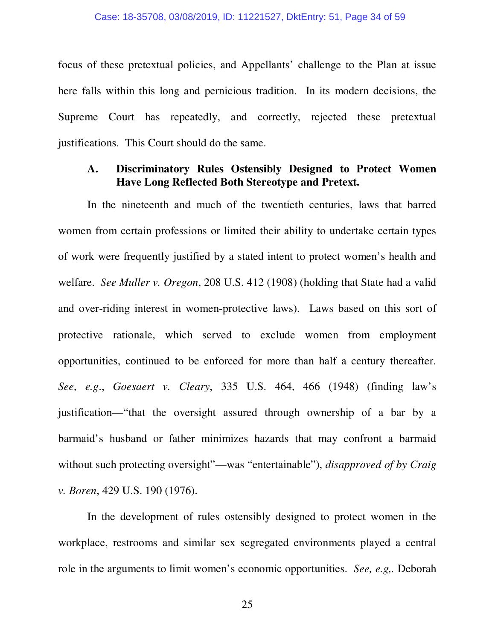focus of these pretextual policies, and Appellants' challenge to the Plan at issue here falls within this long and pernicious tradition. In its modern decisions, the Supreme Court has repeatedly, and correctly, rejected these pretextual justifications. This Court should do the same.

#### **A. Discriminatory Rules Ostensibly Designed to Protect Women Have Long Reflected Both Stereotype and Pretext.**

 In the nineteenth and much of the twentieth centuries, laws that barred women from certain professions or limited their ability to undertake certain types of work were frequently justified by a stated intent to protect women's health and welfare. *See Muller v. Oregon*, 208 U.S. 412 (1908) (holding that State had a valid and over-riding interest in women-protective laws). Laws based on this sort of protective rationale, which served to exclude women from employment opportunities, continued to be enforced for more than half a century thereafter. *See*, *e.g*., *Goesaert v. Cleary*, 335 U.S. 464, 466 (1948) (finding law's justification—"that the oversight assured through ownership of a bar by a barmaid's husband or father minimizes hazards that may confront a barmaid without such protecting oversight"—was "entertainable"), *disapproved of by Craig v. Boren*, 429 U.S. 190 (1976).

 In the development of rules ostensibly designed to protect women in the workplace, restrooms and similar sex segregated environments played a central role in the arguments to limit women's economic opportunities. *See, e.g,.* Deborah

25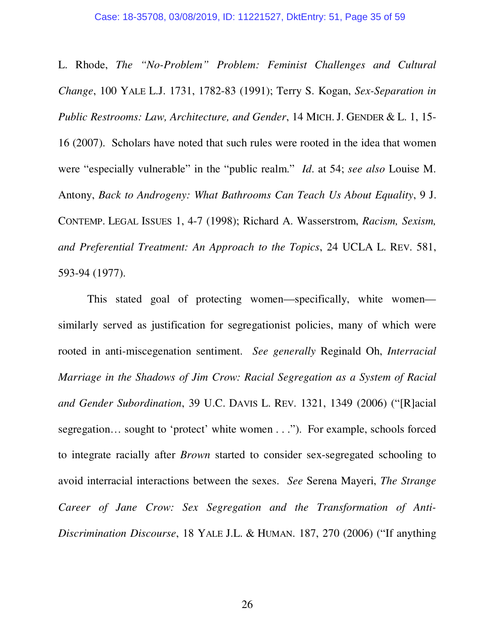L. Rhode, *The "No-Problem" Problem: Feminist Challenges and Cultural Change*, 100 YALE L.J. 1731, 1782-83 (1991); Terry S. Kogan, *Sex-Separation in Public Restrooms: Law, Architecture, and Gender*, 14 MICH. J. GENDER & L. 1, 15- 16 (2007). Scholars have noted that such rules were rooted in the idea that women were "especially vulnerable" in the "public realm." *Id*. at 54; *see also* Louise M. Antony, *Back to Androgeny: What Bathrooms Can Teach Us About Equality*, 9 J. CONTEMP. LEGAL ISSUES 1, 4-7 (1998); Richard A. Wasserstrom, *Racism, Sexism, and Preferential Treatment: An Approach to the Topics*, 24 UCLA L. REV. 581, 593-94 (1977).

 This stated goal of protecting women—specifically, white women similarly served as justification for segregationist policies, many of which were rooted in anti-miscegenation sentiment. *See generally* Reginald Oh, *Interracial Marriage in the Shadows of Jim Crow: Racial Segregation as a System of Racial and Gender Subordination*, 39 U.C. DAVIS L. REV. 1321, 1349 (2006) ("[R]acial segregation… sought to 'protect' white women . . ."). For example, schools forced to integrate racially after *Brown* started to consider sex-segregated schooling to avoid interracial interactions between the sexes. *See* Serena Mayeri, *The Strange Career of Jane Crow: Sex Segregation and the Transformation of Anti-Discrimination Discourse*, 18 YALE J.L. & HUMAN. 187, 270 (2006) ("If anything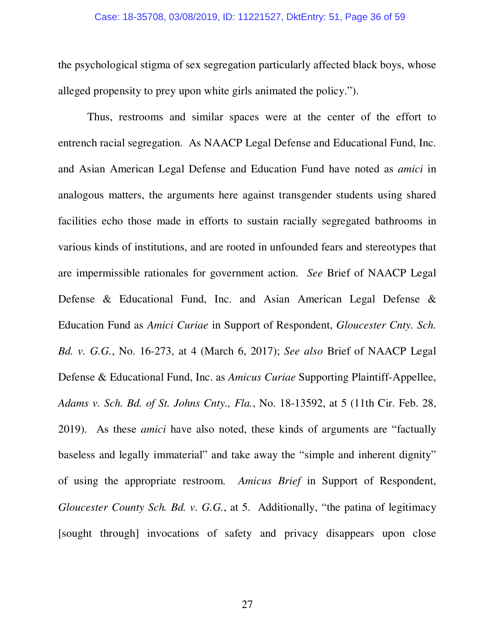#### Case: 18-35708, 03/08/2019, ID: 11221527, DktEntry: 51, Page 36 of 59

the psychological stigma of sex segregation particularly affected black boys, whose alleged propensity to prey upon white girls animated the policy.").

 Thus, restrooms and similar spaces were at the center of the effort to entrench racial segregation. As NAACP Legal Defense and Educational Fund, Inc. and Asian American Legal Defense and Education Fund have noted as *amici* in analogous matters, the arguments here against transgender students using shared facilities echo those made in efforts to sustain racially segregated bathrooms in various kinds of institutions, and are rooted in unfounded fears and stereotypes that are impermissible rationales for government action. *See* Brief of NAACP Legal Defense & Educational Fund, Inc. and Asian American Legal Defense & Education Fund as *Amici Curiae* in Support of Respondent, *Gloucester Cnty. Sch. Bd. v. G.G.*, No. 16-273, at 4 (March 6, 2017); *See also* Brief of NAACP Legal Defense & Educational Fund, Inc. as *Amicus Curiae* Supporting Plaintiff-Appellee, *Adams v. Sch. Bd. of St. Johns Cnty., Fla.*, No. 18-13592, at 5 (11th Cir. Feb. 28, 2019). As these *amici* have also noted, these kinds of arguments are "factually baseless and legally immaterial" and take away the "simple and inherent dignity" of using the appropriate restroom. *Amicus Brief* in Support of Respondent, *Gloucester County Sch. Bd. v. G.G.*, at 5. Additionally, "the pating of legitimacy [sought through] invocations of safety and privacy disappears upon close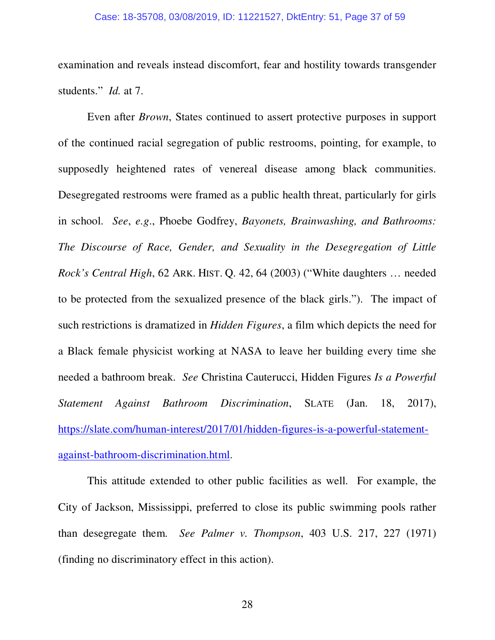#### Case: 18-35708, 03/08/2019, ID: 11221527, DktEntry: 51, Page 37 of 59

examination and reveals instead discomfort, fear and hostility towards transgender students." *Id.* at 7.

 Even after *Brown*, States continued to assert protective purposes in support of the continued racial segregation of public restrooms, pointing, for example, to supposedly heightened rates of venereal disease among black communities. Desegregated restrooms were framed as a public health threat, particularly for girls in school. *See*, *e.g*., Phoebe Godfrey, *Bayonets, Brainwashing, and Bathrooms: The Discourse of Race, Gender, and Sexuality in the Desegregation of Little Rock's Central High*, 62 ARK. HIST. Q. 42, 64 (2003) ("White daughters … needed to be protected from the sexualized presence of the black girls."). The impact of such restrictions is dramatized in *Hidden Figures*, a film which depicts the need for a Black female physicist working at NASA to leave her building every time she needed a bathroom break. *See* Christina Cauterucci, Hidden Figures *Is a Powerful Statement Against Bathroom Discrimination*, SLATE (Jan. 18, 2017), https://slate.com/human-interest/2017/01/hidden-figures-is-a-powerful-statementagainst-bathroom-discrimination.html.

 This attitude extended to other public facilities as well. For example, the City of Jackson, Mississippi, preferred to close its public swimming pools rather than desegregate them. *See Palmer v. Thompson*, 403 U.S. 217, 227 (1971) (finding no discriminatory effect in this action).

28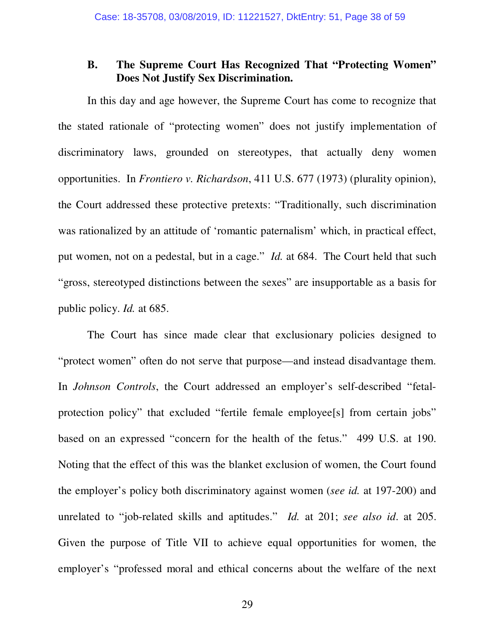### **B. The Supreme Court Has Recognized That "Protecting Women" Does Not Justify Sex Discrimination.**

 In this day and age however, the Supreme Court has come to recognize that the stated rationale of "protecting women" does not justify implementation of discriminatory laws, grounded on stereotypes, that actually deny women opportunities. In *Frontiero v. Richardson*, 411 U.S. 677 (1973) (plurality opinion), the Court addressed these protective pretexts: "Traditionally, such discrimination was rationalized by an attitude of 'romantic paternalism' which, in practical effect, put women, not on a pedestal, but in a cage." *Id.* at 684. The Court held that such "gross, stereotyped distinctions between the sexes" are insupportable as a basis for public policy. *Id.* at 685.

 The Court has since made clear that exclusionary policies designed to "protect women" often do not serve that purpose—and instead disadvantage them. In *Johnson Controls*, the Court addressed an employer's self-described "fetalprotection policy" that excluded "fertile female employee[s] from certain jobs" based on an expressed "concern for the health of the fetus." 499 U.S. at 190. Noting that the effect of this was the blanket exclusion of women, the Court found the employer's policy both discriminatory against women (*see id.* at 197-200) and unrelated to "job-related skills and aptitudes." *Id.* at 201; *see also id*. at 205. Given the purpose of Title VII to achieve equal opportunities for women, the employer's "professed moral and ethical concerns about the welfare of the next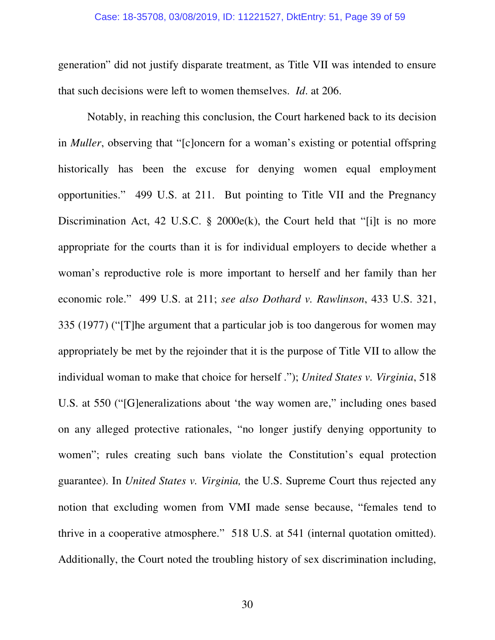#### Case: 18-35708, 03/08/2019, ID: 11221527, DktEntry: 51, Page 39 of 59

generation" did not justify disparate treatment, as Title VII was intended to ensure that such decisions were left to women themselves. *Id*. at 206.

 Notably, in reaching this conclusion, the Court harkened back to its decision in *Muller*, observing that "[c]oncern for a woman's existing or potential offspring historically has been the excuse for denying women equal employment opportunities." 499 U.S. at 211. But pointing to Title VII and the Pregnancy Discrimination Act, 42 U.S.C. § 2000e(k), the Court held that "[i]t is no more appropriate for the courts than it is for individual employers to decide whether a woman's reproductive role is more important to herself and her family than her economic role." 499 U.S. at 211; *see also Dothard v. Rawlinson*, 433 U.S. 321, 335 (1977) ("[T]he argument that a particular job is too dangerous for women may appropriately be met by the rejoinder that it is the purpose of Title VII to allow the individual woman to make that choice for herself ."); *United States v. Virginia*, 518 U.S. at 550 ("[G]eneralizations about 'the way women are," including ones based on any alleged protective rationales, "no longer justify denying opportunity to women"; rules creating such bans violate the Constitution's equal protection guarantee). In *United States v. Virginia,* the U.S. Supreme Court thus rejected any notion that excluding women from VMI made sense because, "females tend to thrive in a cooperative atmosphere." 518 U.S. at 541 (internal quotation omitted). Additionally, the Court noted the troubling history of sex discrimination including,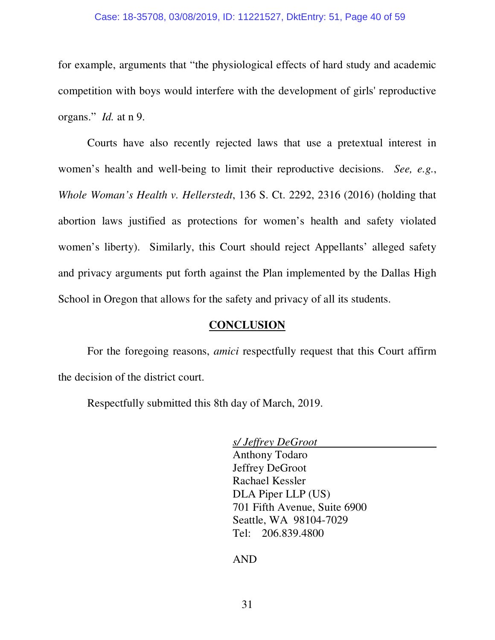#### Case: 18-35708, 03/08/2019, ID: 11221527, DktEntry: 51, Page 40 of 59

for example, arguments that "the physiological effects of hard study and academic competition with boys would interfere with the development of girls' reproductive organs." *Id.* at n 9.

 Courts have also recently rejected laws that use a pretextual interest in women's health and well-being to limit their reproductive decisions. *See, e.g.*, *Whole Woman's Health v. Hellerstedt*, 136 S. Ct. 2292, 2316 (2016) (holding that abortion laws justified as protections for women's health and safety violated women's liberty). Similarly, this Court should reject Appellants' alleged safety and privacy arguments put forth against the Plan implemented by the Dallas High School in Oregon that allows for the safety and privacy of all its students.

#### **CONCLUSION**

 For the foregoing reasons, *amici* respectfully request that this Court affirm the decision of the district court.

Respectfully submitted this 8th day of March, 2019.

*s/ Jeffrey DeGroot*  Anthony Todaro Jeffrey DeGroot Rachael Kessler DLA Piper LLP (US) 701 Fifth Avenue, Suite 6900 Seattle, WA 98104-7029 Tel: 206.839.4800

AND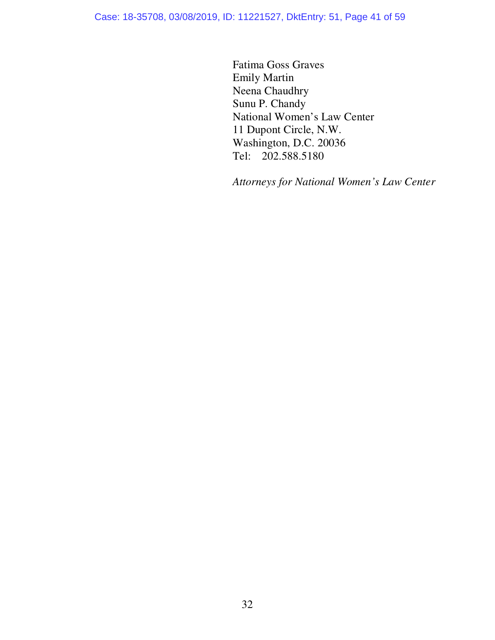Fatima Goss Graves Emily Martin Neena Chaudhry Sunu P. Chandy National Women's Law Center 11 Dupont Circle, N.W. Washington, D.C. 20036 Tel: 202.588.5180

*Attorneys for National Women's Law Center*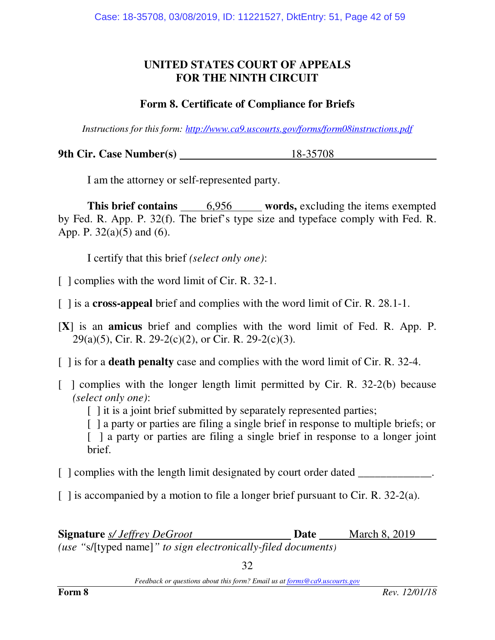### **UNITED STATES COURT OF APPEALS FOR THE NINTH CIRCUIT**

## **Form 8. Certificate of Compliance for Briefs**

*Instructions for this form: http://www.ca9.uscourts.gov/forms/form08instructions.pdf*

**9th Cir. Case Number(s)** 18-35708

I am the attorney or self-represented party.

**This brief contains** 6,956 **words,** excluding the items exempted by Fed. R. App. P. 32(f). The brief's type size and typeface comply with Fed. R. App. P. 32(a)(5) and (6).

I certify that this brief *(select only one)*:

[ ] complies with the word limit of Cir. R. 32-1.

[ ] is a **cross-appeal** brief and complies with the word limit of Cir. R. 28.1-1.

- [**X**] is an **amicus** brief and complies with the word limit of Fed. R. App. P. 29(a)(5), Cir. R. 29-2(c)(2), or Cir. R. 29-2(c)(3).
- [ ] is for a **death penalty** case and complies with the word limit of Cir. R. 32-4.
- [ ] complies with the longer length limit permitted by Cir. R. 32-2(b) because *(select only one)*:

[ ] it is a joint brief submitted by separately represented parties;

[ ] a party or parties are filing a single brief in response to multiple briefs; or [ ] a party or parties are filing a single brief in response to a longer joint brief.

[ ] complies with the length limit designated by court order dated \_\_\_\_\_\_\_\_\_\_\_\_.

 $\lceil$  1 is accompanied by a motion to file a longer brief pursuant to Cir. R. 32-2(a).

**Signature** *s/ Jeffrey DeGroot* **Date March 8, 2019** *(use "*s/[typed name]*" to sign electronically-filed documents)*

32

*Feedback or questions about this form? Email us at forms@ca9.uscourts.gov*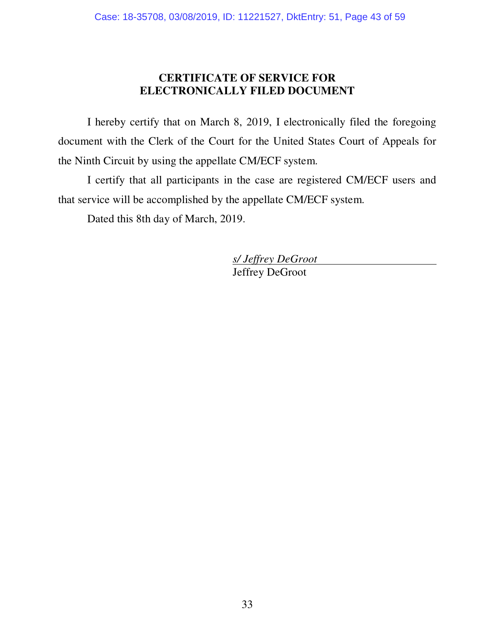#### **CERTIFICATE OF SERVICE FOR ELECTRONICALLY FILED DOCUMENT**

 I hereby certify that on March 8, 2019, I electronically filed the foregoing document with the Clerk of the Court for the United States Court of Appeals for the Ninth Circuit by using the appellate CM/ECF system.

 I certify that all participants in the case are registered CM/ECF users and that service will be accomplished by the appellate CM/ECF system.

Dated this 8th day of March, 2019.

*s/ Jeffrey DeGroot*  Jeffrey DeGroot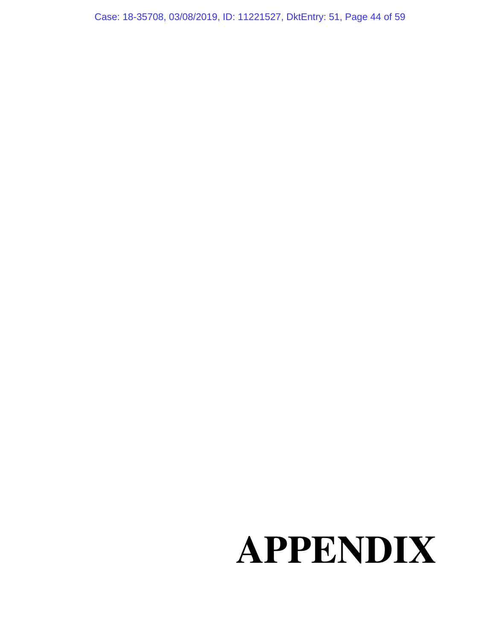Case: 18-35708, 03/08/2019, ID: 11221527, DktEntry: 51, Page 44 of 59

# **APPENDIX**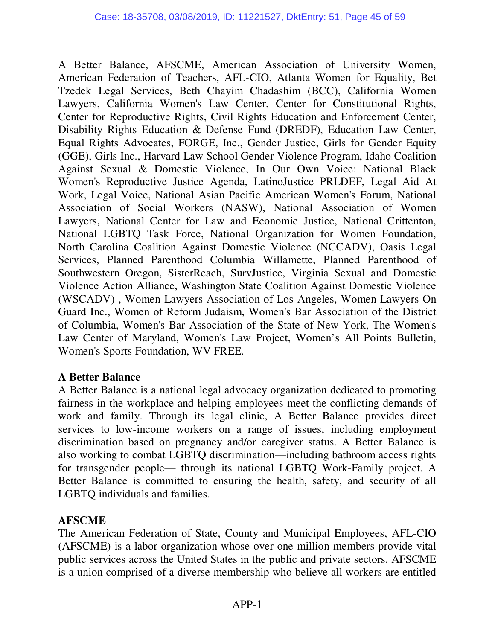A Better Balance, AFSCME, American Association of University Women, American Federation of Teachers, AFL-CIO, Atlanta Women for Equality, Bet Tzedek Legal Services, Beth Chayim Chadashim (BCC), California Women Lawyers, California Women's Law Center, Center for Constitutional Rights, Center for Reproductive Rights, Civil Rights Education and Enforcement Center, Disability Rights Education & Defense Fund (DREDF), Education Law Center, Equal Rights Advocates, FORGE, Inc., Gender Justice, Girls for Gender Equity (GGE), Girls Inc., Harvard Law School Gender Violence Program, Idaho Coalition Against Sexual & Domestic Violence, In Our Own Voice: National Black Women's Reproductive Justice Agenda, LatinoJustice PRLDEF, Legal Aid At Work, Legal Voice, National Asian Pacific American Women's Forum, National Association of Social Workers (NASW), National Association of Women Lawyers, National Center for Law and Economic Justice, National Crittenton, National LGBTQ Task Force, National Organization for Women Foundation, North Carolina Coalition Against Domestic Violence (NCCADV), Oasis Legal Services, Planned Parenthood Columbia Willamette, Planned Parenthood of Southwestern Oregon, SisterReach, SurvJustice, Virginia Sexual and Domestic Violence Action Alliance, Washington State Coalition Against Domestic Violence (WSCADV) , Women Lawyers Association of Los Angeles, Women Lawyers On Guard Inc., Women of Reform Judaism, Women's Bar Association of the District of Columbia, Women's Bar Association of the State of New York, The Women's Law Center of Maryland, Women's Law Project, Women's All Points Bulletin, Women's Sports Foundation, WV FREE.

## **A Better Balance**

A Better Balance is a national legal advocacy organization dedicated to promoting fairness in the workplace and helping employees meet the conflicting demands of work and family. Through its legal clinic, A Better Balance provides direct services to low-income workers on a range of issues, including employment discrimination based on pregnancy and/or caregiver status. A Better Balance is also working to combat LGBTQ discrimination—including bathroom access rights for transgender people— through its national LGBTQ Work-Family project. A Better Balance is committed to ensuring the health, safety, and security of all LGBTQ individuals and families.

## **AFSCME**

The American Federation of State, County and Municipal Employees, AFL-CIO (AFSCME) is a labor organization whose over one million members provide vital public services across the United States in the public and private sectors. AFSCME is a union comprised of a diverse membership who believe all workers are entitled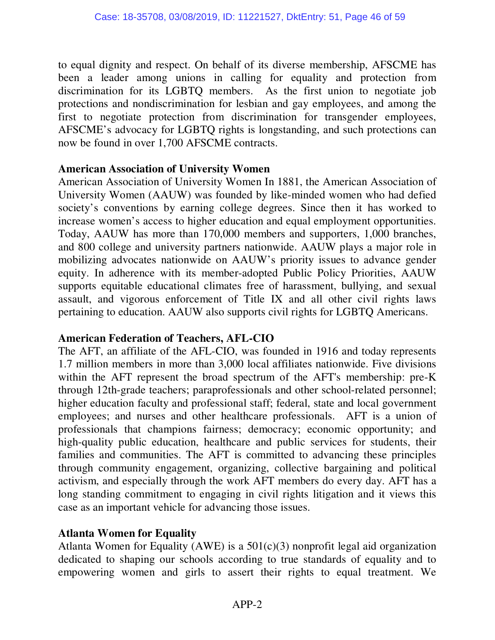to equal dignity and respect. On behalf of its diverse membership, AFSCME has been a leader among unions in calling for equality and protection from discrimination for its LGBTQ members. As the first union to negotiate job protections and nondiscrimination for lesbian and gay employees, and among the first to negotiate protection from discrimination for transgender employees, AFSCME's advocacy for LGBTQ rights is longstanding, and such protections can now be found in over 1,700 AFSCME contracts.

#### **American Association of University Women**

American Association of University Women In 1881, the American Association of University Women (AAUW) was founded by like-minded women who had defied society's conventions by earning college degrees. Since then it has worked to increase women's access to higher education and equal employment opportunities. Today, AAUW has more than 170,000 members and supporters, 1,000 branches, and 800 college and university partners nationwide. AAUW plays a major role in mobilizing advocates nationwide on AAUW's priority issues to advance gender equity. In adherence with its member-adopted Public Policy Priorities, AAUW supports equitable educational climates free of harassment, bullying, and sexual assault, and vigorous enforcement of Title IX and all other civil rights laws pertaining to education. AAUW also supports civil rights for LGBTQ Americans.

#### **American Federation of Teachers, AFL-CIO**

The AFT, an affiliate of the AFL-CIO, was founded in 1916 and today represents 1.7 million members in more than 3,000 local affiliates nationwide. Five divisions within the AFT represent the broad spectrum of the AFT's membership: pre-K through 12th-grade teachers; paraprofessionals and other school-related personnel; higher education faculty and professional staff; federal, state and local government employees; and nurses and other healthcare professionals. AFT is a union of professionals that champions fairness; democracy; economic opportunity; and high-quality public education, healthcare and public services for students, their families and communities. The AFT is committed to advancing these principles through community engagement, organizing, collective bargaining and political activism, and especially through the work AFT members do every day. AFT has a long standing commitment to engaging in civil rights litigation and it views this case as an important vehicle for advancing those issues.

#### **Atlanta Women for Equality**

Atlanta Women for Equality (AWE) is a 501(c)(3) nonprofit legal aid organization dedicated to shaping our schools according to true standards of equality and to empowering women and girls to assert their rights to equal treatment. We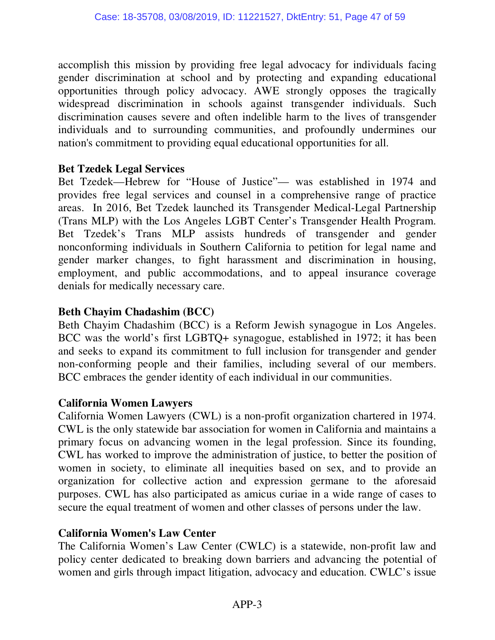accomplish this mission by providing free legal advocacy for individuals facing gender discrimination at school and by protecting and expanding educational opportunities through policy advocacy. AWE strongly opposes the tragically widespread discrimination in schools against transgender individuals. Such discrimination causes severe and often indelible harm to the lives of transgender individuals and to surrounding communities, and profoundly undermines our nation's commitment to providing equal educational opportunities for all.

#### **Bet Tzedek Legal Services**

Bet Tzedek—Hebrew for "House of Justice"— was established in 1974 and provides free legal services and counsel in a comprehensive range of practice areas. In 2016, Bet Tzedek launched its Transgender Medical-Legal Partnership (Trans MLP) with the Los Angeles LGBT Center's Transgender Health Program. Bet Tzedek's Trans MLP assists hundreds of transgender and gender nonconforming individuals in Southern California to petition for legal name and gender marker changes, to fight harassment and discrimination in housing, employment, and public accommodations, and to appeal insurance coverage denials for medically necessary care.

## **Beth Chayim Chadashim (BCC)**

Beth Chayim Chadashim (BCC) is a Reform Jewish synagogue in Los Angeles. BCC was the world's first LGBTQ+ synagogue, established in 1972; it has been and seeks to expand its commitment to full inclusion for transgender and gender non-conforming people and their families, including several of our members. BCC embraces the gender identity of each individual in our communities.

#### **California Women Lawyers**

California Women Lawyers (CWL) is a non-profit organization chartered in 1974. CWL is the only statewide bar association for women in California and maintains a primary focus on advancing women in the legal profession. Since its founding, CWL has worked to improve the administration of justice, to better the position of women in society, to eliminate all inequities based on sex, and to provide an organization for collective action and expression germane to the aforesaid purposes. CWL has also participated as amicus curiae in a wide range of cases to secure the equal treatment of women and other classes of persons under the law.

#### **California Women's Law Center**

The California Women's Law Center (CWLC) is a statewide, non-profit law and policy center dedicated to breaking down barriers and advancing the potential of women and girls through impact litigation, advocacy and education. CWLC's issue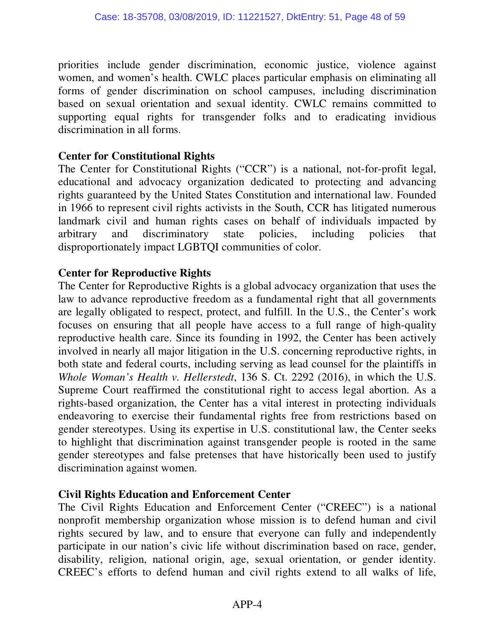priorities include gender discrimination, economic justice, violence against women, and women's health. CWLC places particular emphasis on eliminating all forms of gender discrimination on school campuses, including discrimination based on sexual orientation and sexual identity. CWLC remains committed to supporting equal rights for transgender folks and to eradicating invidious discrimination in all forms.

#### **Center for Constitutional Rights**

The Center for Constitutional Rights ("CCR") is a national, not-for-profit legal, educational and advocacy organization dedicated to protecting and advancing rights guaranteed by the United States Constitution and international law. Founded in 1966 to represent civil rights activists in the South, CCR has litigated numerous landmark civil and human rights cases on behalf of individuals impacted by arbitrary and discriminatory state policies, including policies that disproportionately impact LGBTQI communities of color.

## **Center for Reproductive Rights**

The Center for Reproductive Rights is a global advocacy organization that uses the law to advance reproductive freedom as a fundamental right that all governments are legally obligated to respect, protect, and fulfill. In the U.S., the Center's work focuses on ensuring that all people have access to a full range of high-quality reproductive health care. Since its founding in 1992, the Center has been actively involved in nearly all major litigation in the U.S. concerning reproductive rights, in both state and federal courts, including serving as lead counsel for the plaintiffs in *Whole Woman's Health v. Hellerstedt*, 136 S. Ct. 2292 (2016), in which the U.S. Supreme Court reaffirmed the constitutional right to access legal abortion. As a rights-based organization, the Center has a vital interest in protecting individuals endeavoring to exercise their fundamental rights free from restrictions based on gender stereotypes. Using its expertise in U.S. constitutional law, the Center seeks to highlight that discrimination against transgender people is rooted in the same gender stereotypes and false pretenses that have historically been used to justify discrimination against women.

## **Civil Rights Education and Enforcement Center**

The Civil Rights Education and Enforcement Center ("CREEC") is a national nonprofit membership organization whose mission is to defend human and civil rights secured by law, and to ensure that everyone can fully and independently participate in our nation's civic life without discrimination based on race, gender, disability, religion, national origin, age, sexual orientation, or gender identity. CREEC's efforts to defend human and civil rights extend to all walks of life,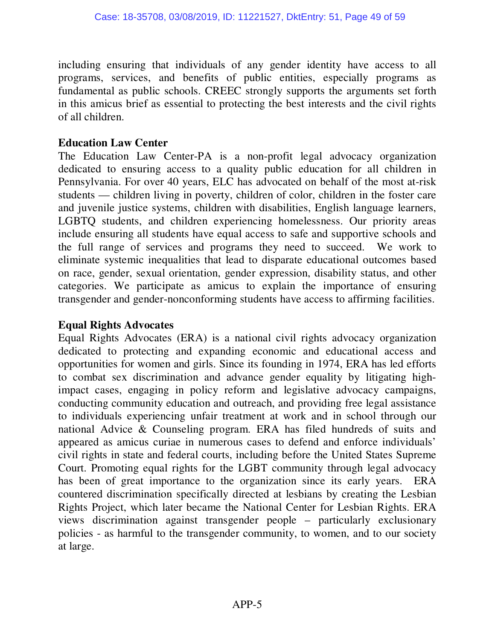including ensuring that individuals of any gender identity have access to all programs, services, and benefits of public entities, especially programs as fundamental as public schools. CREEC strongly supports the arguments set forth in this amicus brief as essential to protecting the best interests and the civil rights of all children.

#### **Education Law Center**

The Education Law Center-PA is a non-profit legal advocacy organization dedicated to ensuring access to a quality public education for all children in Pennsylvania. For over 40 years, ELC has advocated on behalf of the most at-risk students — children living in poverty, children of color, children in the foster care and juvenile justice systems, children with disabilities, English language learners, LGBTQ students, and children experiencing homelessness. Our priority areas include ensuring all students have equal access to safe and supportive schools and the full range of services and programs they need to succeed. We work to eliminate systemic inequalities that lead to disparate educational outcomes based on race, gender, sexual orientation, gender expression, disability status, and other categories. We participate as amicus to explain the importance of ensuring transgender and gender-nonconforming students have access to affirming facilities.

### **Equal Rights Advocates**

Equal Rights Advocates (ERA) is a national civil rights advocacy organization dedicated to protecting and expanding economic and educational access and opportunities for women and girls. Since its founding in 1974, ERA has led efforts to combat sex discrimination and advance gender equality by litigating highimpact cases, engaging in policy reform and legislative advocacy campaigns, conducting community education and outreach, and providing free legal assistance to individuals experiencing unfair treatment at work and in school through our national Advice & Counseling program. ERA has filed hundreds of suits and appeared as amicus curiae in numerous cases to defend and enforce individuals' civil rights in state and federal courts, including before the United States Supreme Court. Promoting equal rights for the LGBT community through legal advocacy has been of great importance to the organization since its early years. ERA countered discrimination specifically directed at lesbians by creating the Lesbian Rights Project, which later became the National Center for Lesbian Rights. ERA views discrimination against transgender people – particularly exclusionary policies - as harmful to the transgender community, to women, and to our society at large.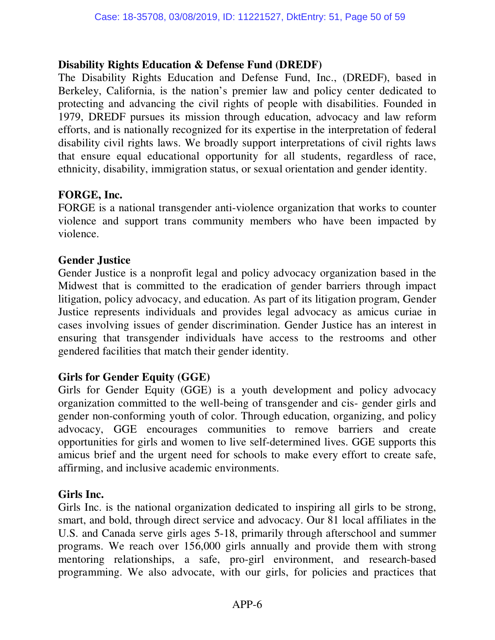### **Disability Rights Education & Defense Fund (DREDF)**

The Disability Rights Education and Defense Fund, Inc., (DREDF), based in Berkeley, California, is the nation's premier law and policy center dedicated to protecting and advancing the civil rights of people with disabilities. Founded in 1979, DREDF pursues its mission through education, advocacy and law reform efforts, and is nationally recognized for its expertise in the interpretation of federal disability civil rights laws. We broadly support interpretations of civil rights laws that ensure equal educational opportunity for all students, regardless of race, ethnicity, disability, immigration status, or sexual orientation and gender identity.

#### **FORGE, Inc.**

FORGE is a national transgender anti-violence organization that works to counter violence and support trans community members who have been impacted by violence.

#### **Gender Justice**

Gender Justice is a nonprofit legal and policy advocacy organization based in the Midwest that is committed to the eradication of gender barriers through impact litigation, policy advocacy, and education. As part of its litigation program, Gender Justice represents individuals and provides legal advocacy as amicus curiae in cases involving issues of gender discrimination. Gender Justice has an interest in ensuring that transgender individuals have access to the restrooms and other gendered facilities that match their gender identity.

## **Girls for Gender Equity (GGE)**

Girls for Gender Equity (GGE) is a youth development and policy advocacy organization committed to the well-being of transgender and cis- gender girls and gender non-conforming youth of color. Through education, organizing, and policy advocacy, GGE encourages communities to remove barriers and create opportunities for girls and women to live self-determined lives. GGE supports this amicus brief and the urgent need for schools to make every effort to create safe, affirming, and inclusive academic environments.

#### **Girls Inc.**

Girls Inc. is the national organization dedicated to inspiring all girls to be strong, smart, and bold, through direct service and advocacy. Our 81 local affiliates in the U.S. and Canada serve girls ages 5-18, primarily through afterschool and summer programs. We reach over 156,000 girls annually and provide them with strong mentoring relationships, a safe, pro-girl environment, and research-based programming. We also advocate, with our girls, for policies and practices that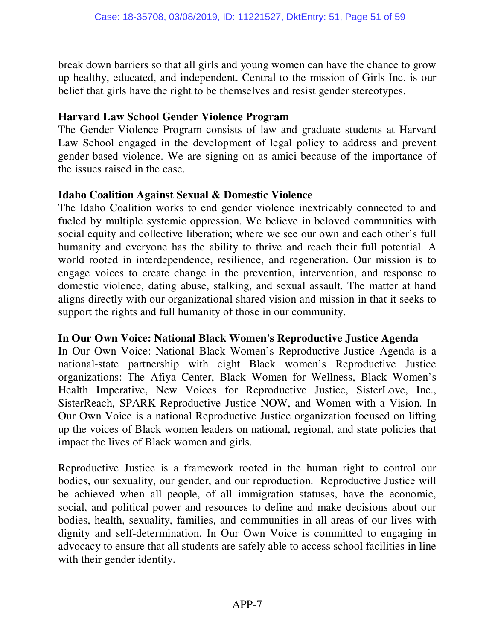break down barriers so that all girls and young women can have the chance to grow up healthy, educated, and independent. Central to the mission of Girls Inc. is our belief that girls have the right to be themselves and resist gender stereotypes.

#### **Harvard Law School Gender Violence Program**

The Gender Violence Program consists of law and graduate students at Harvard Law School engaged in the development of legal policy to address and prevent gender-based violence. We are signing on as amici because of the importance of the issues raised in the case.

#### **Idaho Coalition Against Sexual & Domestic Violence**

The Idaho Coalition works to end gender violence inextricably connected to and fueled by multiple systemic oppression. We believe in beloved communities with social equity and collective liberation; where we see our own and each other's full humanity and everyone has the ability to thrive and reach their full potential. A world rooted in interdependence, resilience, and regeneration. Our mission is to engage voices to create change in the prevention, intervention, and response to domestic violence, dating abuse, stalking, and sexual assault. The matter at hand aligns directly with our organizational shared vision and mission in that it seeks to support the rights and full humanity of those in our community.

#### **In Our Own Voice: National Black Women's Reproductive Justice Agenda**

In Our Own Voice: National Black Women's Reproductive Justice Agenda is a national-state partnership with eight Black women's Reproductive Justice organizations: The Afiya Center, Black Women for Wellness, Black Women's Health Imperative, New Voices for Reproductive Justice, SisterLove, Inc., SisterReach, SPARK Reproductive Justice NOW, and Women with a Vision. In Our Own Voice is a national Reproductive Justice organization focused on lifting up the voices of Black women leaders on national, regional, and state policies that impact the lives of Black women and girls.

Reproductive Justice is a framework rooted in the human right to control our bodies, our sexuality, our gender, and our reproduction. Reproductive Justice will be achieved when all people, of all immigration statuses, have the economic, social, and political power and resources to define and make decisions about our bodies, health, sexuality, families, and communities in all areas of our lives with dignity and self-determination. In Our Own Voice is committed to engaging in advocacy to ensure that all students are safely able to access school facilities in line with their gender identity.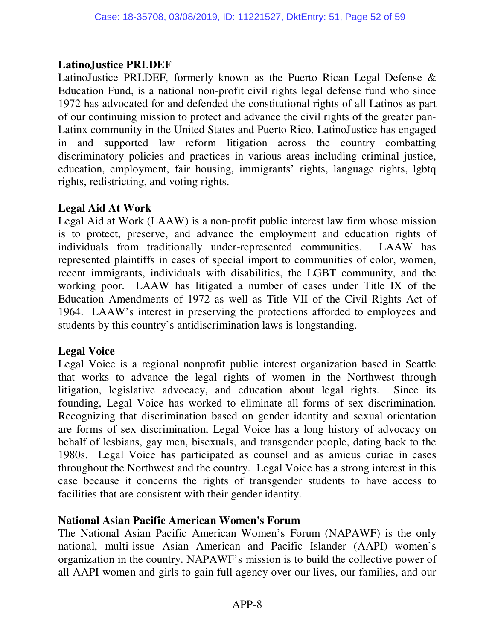## **LatinoJustice PRLDEF**

LatinoJustice PRLDEF, formerly known as the Puerto Rican Legal Defense & Education Fund, is a national non-profit civil rights legal defense fund who since 1972 has advocated for and defended the constitutional rights of all Latinos as part of our continuing mission to protect and advance the civil rights of the greater pan-Latinx community in the United States and Puerto Rico. LatinoJustice has engaged in and supported law reform litigation across the country combatting discriminatory policies and practices in various areas including criminal justice, education, employment, fair housing, immigrants' rights, language rights, lgbtq rights, redistricting, and voting rights.

## **Legal Aid At Work**

Legal Aid at Work (LAAW) is a non-profit public interest law firm whose mission is to protect, preserve, and advance the employment and education rights of individuals from traditionally under-represented communities. LAAW has represented plaintiffs in cases of special import to communities of color, women, recent immigrants, individuals with disabilities, the LGBT community, and the working poor. LAAW has litigated a number of cases under Title IX of the Education Amendments of 1972 as well as Title VII of the Civil Rights Act of 1964. LAAW's interest in preserving the protections afforded to employees and students by this country's antidiscrimination laws is longstanding.

## **Legal Voice**

Legal Voice is a regional nonprofit public interest organization based in Seattle that works to advance the legal rights of women in the Northwest through litigation, legislative advocacy, and education about legal rights. Since its founding, Legal Voice has worked to eliminate all forms of sex discrimination. Recognizing that discrimination based on gender identity and sexual orientation are forms of sex discrimination, Legal Voice has a long history of advocacy on behalf of lesbians, gay men, bisexuals, and transgender people, dating back to the 1980s. Legal Voice has participated as counsel and as amicus curiae in cases throughout the Northwest and the country. Legal Voice has a strong interest in this case because it concerns the rights of transgender students to have access to facilities that are consistent with their gender identity.

## **National Asian Pacific American Women's Forum**

The National Asian Pacific American Women's Forum (NAPAWF) is the only national, multi-issue Asian American and Pacific Islander (AAPI) women's organization in the country. NAPAWF's mission is to build the collective power of all AAPI women and girls to gain full agency over our lives, our families, and our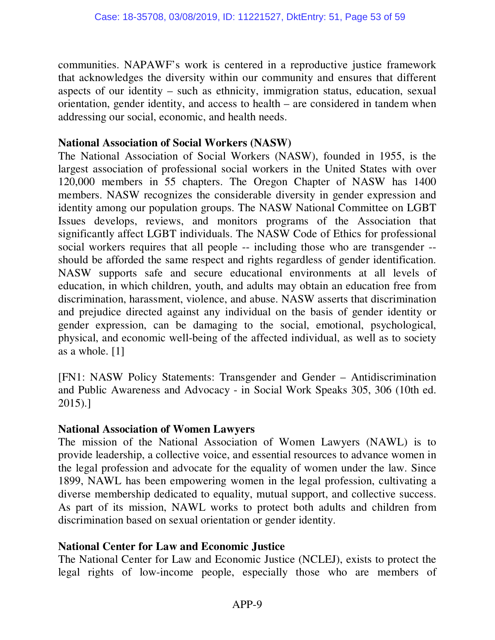communities. NAPAWF's work is centered in a reproductive justice framework that acknowledges the diversity within our community and ensures that different aspects of our identity – such as ethnicity, immigration status, education, sexual orientation, gender identity, and access to health – are considered in tandem when addressing our social, economic, and health needs.

#### **National Association of Social Workers (NASW)**

The National Association of Social Workers (NASW), founded in 1955, is the largest association of professional social workers in the United States with over 120,000 members in 55 chapters. The Oregon Chapter of NASW has 1400 members. NASW recognizes the considerable diversity in gender expression and identity among our population groups. The NASW National Committee on LGBT Issues develops, reviews, and monitors programs of the Association that significantly affect LGBT individuals. The NASW Code of Ethics for professional social workers requires that all people -- including those who are transgender - should be afforded the same respect and rights regardless of gender identification. NASW supports safe and secure educational environments at all levels of education, in which children, youth, and adults may obtain an education free from discrimination, harassment, violence, and abuse. NASW asserts that discrimination and prejudice directed against any individual on the basis of gender identity or gender expression, can be damaging to the social, emotional, psychological, physical, and economic well-being of the affected individual, as well as to society as a whole. [1]

[FN1: NASW Policy Statements: Transgender and Gender – Antidiscrimination and Public Awareness and Advocacy - in Social Work Speaks 305, 306 (10th ed. 2015).]

#### **National Association of Women Lawyers**

The mission of the National Association of Women Lawyers (NAWL) is to provide leadership, a collective voice, and essential resources to advance women in the legal profession and advocate for the equality of women under the law. Since 1899, NAWL has been empowering women in the legal profession, cultivating a diverse membership dedicated to equality, mutual support, and collective success. As part of its mission, NAWL works to protect both adults and children from discrimination based on sexual orientation or gender identity.

#### **National Center for Law and Economic Justice**

The National Center for Law and Economic Justice (NCLEJ), exists to protect the legal rights of low-income people, especially those who are members of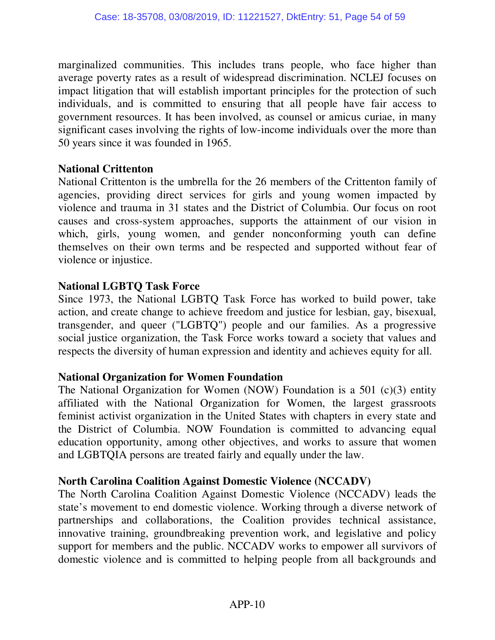marginalized communities. This includes trans people, who face higher than average poverty rates as a result of widespread discrimination. NCLEJ focuses on impact litigation that will establish important principles for the protection of such individuals, and is committed to ensuring that all people have fair access to government resources. It has been involved, as counsel or amicus curiae, in many significant cases involving the rights of low-income individuals over the more than 50 years since it was founded in 1965.

#### **National Crittenton**

National Crittenton is the umbrella for the 26 members of the Crittenton family of agencies, providing direct services for girls and young women impacted by violence and trauma in 31 states and the District of Columbia. Our focus on root causes and cross-system approaches, supports the attainment of our vision in which, girls, young women, and gender nonconforming youth can define themselves on their own terms and be respected and supported without fear of violence or injustice.

#### **National LGBTQ Task Force**

Since 1973, the National LGBTQ Task Force has worked to build power, take action, and create change to achieve freedom and justice for lesbian, gay, bisexual, transgender, and queer ("LGBTQ") people and our families. As a progressive social justice organization, the Task Force works toward a society that values and respects the diversity of human expression and identity and achieves equity for all.

#### **National Organization for Women Foundation**

The National Organization for Women (NOW) Foundation is a 501 (c)(3) entity affiliated with the National Organization for Women, the largest grassroots feminist activist organization in the United States with chapters in every state and the District of Columbia. NOW Foundation is committed to advancing equal education opportunity, among other objectives, and works to assure that women and LGBTQIA persons are treated fairly and equally under the law.

#### **North Carolina Coalition Against Domestic Violence (NCCADV)**

The North Carolina Coalition Against Domestic Violence (NCCADV) leads the state's movement to end domestic violence. Working through a diverse network of partnerships and collaborations, the Coalition provides technical assistance, innovative training, groundbreaking prevention work, and legislative and policy support for members and the public. NCCADV works to empower all survivors of domestic violence and is committed to helping people from all backgrounds and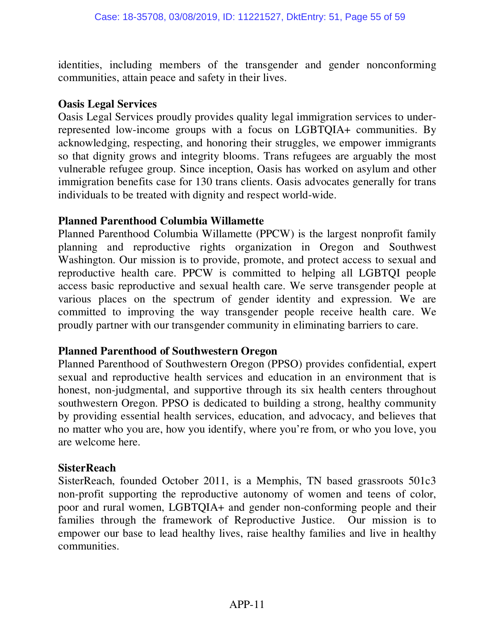identities, including members of the transgender and gender nonconforming communities, attain peace and safety in their lives.

#### **Oasis Legal Services**

Oasis Legal Services proudly provides quality legal immigration services to underrepresented low-income groups with a focus on LGBTQIA+ communities. By acknowledging, respecting, and honoring their struggles, we empower immigrants so that dignity grows and integrity blooms. Trans refugees are arguably the most vulnerable refugee group. Since inception, Oasis has worked on asylum and other immigration benefits case for 130 trans clients. Oasis advocates generally for trans individuals to be treated with dignity and respect world-wide.

#### **Planned Parenthood Columbia Willamette**

Planned Parenthood Columbia Willamette (PPCW) is the largest nonprofit family planning and reproductive rights organization in Oregon and Southwest Washington. Our mission is to provide, promote, and protect access to sexual and reproductive health care. PPCW is committed to helping all LGBTQI people access basic reproductive and sexual health care. We serve transgender people at various places on the spectrum of gender identity and expression. We are committed to improving the way transgender people receive health care. We proudly partner with our transgender community in eliminating barriers to care.

#### **Planned Parenthood of Southwestern Oregon**

Planned Parenthood of Southwestern Oregon (PPSO) provides confidential, expert sexual and reproductive health services and education in an environment that is honest, non-judgmental, and supportive through its six health centers throughout southwestern Oregon. PPSO is dedicated to building a strong, healthy community by providing essential health services, education, and advocacy, and believes that no matter who you are, how you identify, where you're from, or who you love, you are welcome here.

#### **SisterReach**

SisterReach, founded October 2011, is a Memphis, TN based grassroots 501c3 non-profit supporting the reproductive autonomy of women and teens of color, poor and rural women, LGBTQIA+ and gender non-conforming people and their families through the framework of Reproductive Justice. Our mission is to empower our base to lead healthy lives, raise healthy families and live in healthy communities.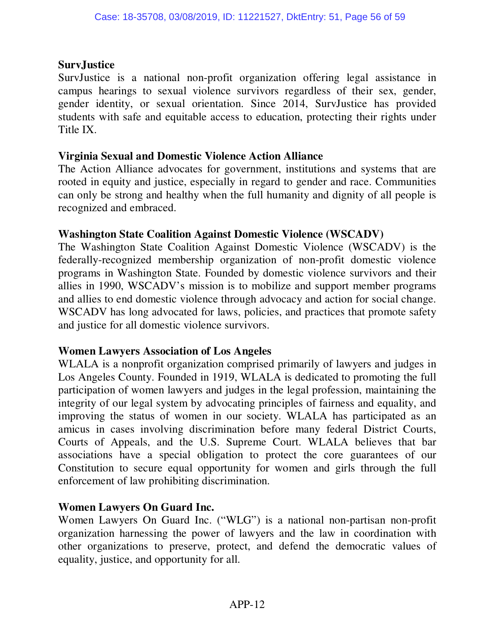#### **SurvJustice**

SurvJustice is a national non-profit organization offering legal assistance in campus hearings to sexual violence survivors regardless of their sex, gender, gender identity, or sexual orientation. Since 2014, SurvJustice has provided students with safe and equitable access to education, protecting their rights under Title IX.

#### **Virginia Sexual and Domestic Violence Action Alliance**

The Action Alliance advocates for government, institutions and systems that are rooted in equity and justice, especially in regard to gender and race. Communities can only be strong and healthy when the full humanity and dignity of all people is recognized and embraced.

#### **Washington State Coalition Against Domestic Violence (WSCADV)**

The Washington State Coalition Against Domestic Violence (WSCADV) is the federally-recognized membership organization of non-profit domestic violence programs in Washington State. Founded by domestic violence survivors and their allies in 1990, WSCADV's mission is to mobilize and support member programs and allies to end domestic violence through advocacy and action for social change. WSCADV has long advocated for laws, policies, and practices that promote safety and justice for all domestic violence survivors.

#### **Women Lawyers Association of Los Angeles**

WLALA is a nonprofit organization comprised primarily of lawyers and judges in Los Angeles County. Founded in 1919, WLALA is dedicated to promoting the full participation of women lawyers and judges in the legal profession, maintaining the integrity of our legal system by advocating principles of fairness and equality, and improving the status of women in our society. WLALA has participated as an amicus in cases involving discrimination before many federal District Courts, Courts of Appeals, and the U.S. Supreme Court. WLALA believes that bar associations have a special obligation to protect the core guarantees of our Constitution to secure equal opportunity for women and girls through the full enforcement of law prohibiting discrimination.

#### **Women Lawyers On Guard Inc.**

Women Lawyers On Guard Inc. ("WLG") is a national non-partisan non-profit organization harnessing the power of lawyers and the law in coordination with other organizations to preserve, protect, and defend the democratic values of equality, justice, and opportunity for all.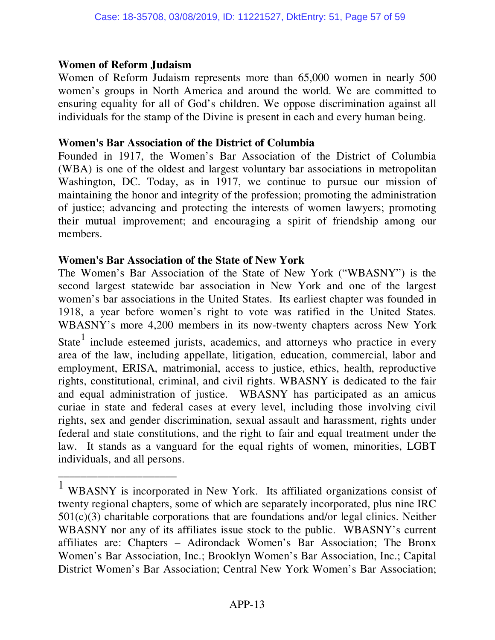#### **Women of Reform Judaism**

\_\_\_\_\_\_\_\_\_\_\_\_\_\_\_\_\_\_\_\_\_

Women of Reform Judaism represents more than 65,000 women in nearly 500 women's groups in North America and around the world. We are committed to ensuring equality for all of God's children. We oppose discrimination against all individuals for the stamp of the Divine is present in each and every human being.

#### **Women's Bar Association of the District of Columbia**

Founded in 1917, the Women's Bar Association of the District of Columbia (WBA) is one of the oldest and largest voluntary bar associations in metropolitan Washington, DC. Today, as in 1917, we continue to pursue our mission of maintaining the honor and integrity of the profession; promoting the administration of justice; advancing and protecting the interests of women lawyers; promoting their mutual improvement; and encouraging a spirit of friendship among our members.

#### **Women's Bar Association of the State of New York**

The Women's Bar Association of the State of New York ("WBASNY") is the second largest statewide bar association in New York and one of the largest women's bar associations in the United States. Its earliest chapter was founded in 1918, a year before women's right to vote was ratified in the United States. WBASNY's more 4,200 members in its now-twenty chapters across New York State $<sup>1</sup>$  include esteemed jurists, academics, and attorneys who practice in every</sup> area of the law, including appellate, litigation, education, commercial, labor and employment, ERISA, matrimonial, access to justice, ethics, health, reproductive rights, constitutional, criminal, and civil rights. WBASNY is dedicated to the fair

and equal administration of justice. WBASNY has participated as an amicus curiae in state and federal cases at every level, including those involving civil rights, sex and gender discrimination, sexual assault and harassment, rights under federal and state constitutions, and the right to fair and equal treatment under the law. It stands as a vanguard for the equal rights of women, minorities, LGBT individuals, and all persons.

 $1$  WBASNY is incorporated in New York. Its affiliated organizations consist of twenty regional chapters, some of which are separately incorporated, plus nine IRC 501(c)(3) charitable corporations that are foundations and/or legal clinics. Neither WBASNY nor any of its affiliates issue stock to the public. WBASNY's current affiliates are: Chapters – Adirondack Women's Bar Association; The Bronx Women's Bar Association, Inc.; Brooklyn Women's Bar Association, Inc.; Capital District Women's Bar Association; Central New York Women's Bar Association;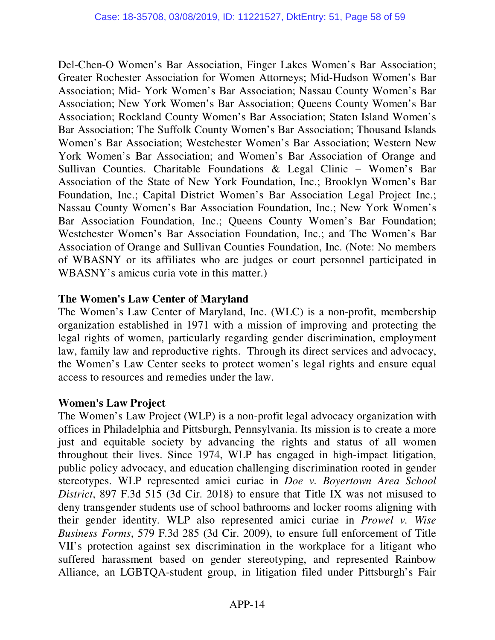Del-Chen-O Women's Bar Association, Finger Lakes Women's Bar Association; Greater Rochester Association for Women Attorneys; Mid-Hudson Women's Bar Association; Mid- York Women's Bar Association; Nassau County Women's Bar Association; New York Women's Bar Association; Queens County Women's Bar Association; Rockland County Women's Bar Association; Staten Island Women's Bar Association; The Suffolk County Women's Bar Association; Thousand Islands Women's Bar Association; Westchester Women's Bar Association; Western New York Women's Bar Association; and Women's Bar Association of Orange and Sullivan Counties. Charitable Foundations & Legal Clinic – Women's Bar Association of the State of New York Foundation, Inc.; Brooklyn Women's Bar Foundation, Inc.; Capital District Women's Bar Association Legal Project Inc.; Nassau County Women's Bar Association Foundation, Inc.; New York Women's Bar Association Foundation, Inc.; Queens County Women's Bar Foundation; Westchester Women's Bar Association Foundation, Inc.; and The Women's Bar Association of Orange and Sullivan Counties Foundation, Inc. (Note: No members of WBASNY or its affiliates who are judges or court personnel participated in WBASNY's amicus curia vote in this matter.)

#### **The Women's Law Center of Maryland**

The Women's Law Center of Maryland, Inc. (WLC) is a non-profit, membership organization established in 1971 with a mission of improving and protecting the legal rights of women, particularly regarding gender discrimination, employment law, family law and reproductive rights. Through its direct services and advocacy, the Women's Law Center seeks to protect women's legal rights and ensure equal access to resources and remedies under the law.

#### **Women's Law Project**

The Women's Law Project (WLP) is a non-profit legal advocacy organization with offices in Philadelphia and Pittsburgh, Pennsylvania. Its mission is to create a more just and equitable society by advancing the rights and status of all women throughout their lives. Since 1974, WLP has engaged in high-impact litigation, public policy advocacy, and education challenging discrimination rooted in gender stereotypes. WLP represented amici curiae in *Doe v. Boyertown Area School District*, 897 F.3d 515 (3d Cir. 2018) to ensure that Title IX was not misused to deny transgender students use of school bathrooms and locker rooms aligning with their gender identity. WLP also represented amici curiae in *Prowel v. Wise Business Forms*, 579 F.3d 285 (3d Cir. 2009), to ensure full enforcement of Title VII's protection against sex discrimination in the workplace for a litigant who suffered harassment based on gender stereotyping, and represented Rainbow Alliance, an LGBTQA-student group, in litigation filed under Pittsburgh's Fair